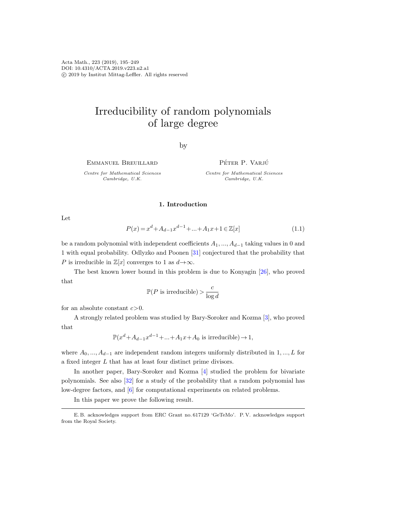Acta Math., 223 (2019), 195–249 DOI: 10.4310/ACTA.2019.v223.n2.a1 c 2019 by Institut Mittag-Leffler. All rights reserved

# Irreducibility of random polynomials of large degree

by

Emmanuel Breuillard

Centre for Mathematical Sciences Cambridge, U.K.

PÉTER P. VARJÚ

Centre for Mathematical Sciences Cambridge, U.K.

## 1. Introduction

Let

<span id="page-0-0"></span>
$$
P(x) = x^{d} + A_{d-1}x^{d-1} + \dots + A_1x + 1 \in \mathbb{Z}[x]
$$
\n(1.1)

be a random polynomial with independent coefficients  $A_1, ..., A_{d-1}$  taking values in 0 and 1 with equal probability. Odlyzko and Poonen [\[31\]](#page-54-0) conjectured that the probability that P is irreducible in  $\mathbb{Z}[x]$  converges to 1 as  $d \rightarrow \infty$ .

The best known lower bound in this problem is due to Konyagin [\[26\]](#page-54-1), who proved that

> $\mathbb{P}(P \text{ is irreducible}) > \frac{c}{1}$  $\log d$

for an absolute constant  $c > 0$ .

A strongly related problem was studied by Bary-Soroker and Kozma [\[3\]](#page-53-0), who proved that

 $\mathbb{P}(x^d + A_{d-1}x^{d-1} + \dots + A_1x + A_0$  is irreducible)  $\rightarrow 1$ ,

where  $A_0, ..., A_{d-1}$  are independent random integers uniformly distributed in 1, ..., L for a fixed integer L that has at least four distinct prime divisors.

In another paper, Bary-Soroker and Kozma [\[4\]](#page-53-1) studied the problem for bivariate polynomials. See also [\[32\]](#page-54-2) for a study of the probability that a random polynomial has low-degree factors, and [\[6\]](#page-53-2) for computational experiments on related problems.

In this paper we prove the following result.

E. B. acknowledges support from ERC Grant no. 617129 'GeTeMo'. P. V. acknowledges support from the Royal Society.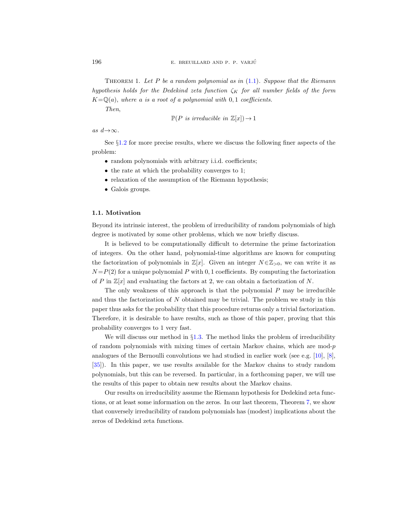THEOREM 1. Let P be a random polynomial as in  $(1.1)$ . Suppose that the Riemann hypothesis holds for the Dedekind zeta function  $\zeta_K$  for all number fields of the form  $K=\mathbb{Q}(a)$ , where a is a root of a polynomial with 0,1 coefficients.

Then,

$$
\mathbb{P}(P \text{ is irreducible in } \mathbb{Z}[x]) \to 1
$$

as  $d \rightarrow \infty$ .

See §[1.2](#page-2-0) for more precise results, where we discuss the following finer aspects of the problem:

- random polynomials with arbitrary i.i.d. coefficients;
- the rate at which the probability converges to 1;
- relaxation of the assumption of the Riemann hypothesis;
- Galois groups.

#### 1.1. Motivation

Beyond its intrinsic interest, the problem of irreducibility of random polynomials of high degree is motivated by some other problems, which we now briefly discuss.

It is believed to be computationally difficult to determine the prime factorization of integers. On the other hand, polynomial-time algorithms are known for computing the factorization of polynomials in  $\mathbb{Z}[x]$ . Given an integer  $N \in \mathbb{Z}_{\geq 0}$ , we can write it as  $N = P(2)$  for a unique polynomial P with 0, 1 coefficients. By computing the factorization of P in  $\mathbb{Z}[x]$  and evaluating the factors at 2, we can obtain a factorization of N.

The only weakness of this approach is that the polynomial  $P$  may be irreducible and thus the factorization of  $N$  obtained may be trivial. The problem we study in this paper thus asks for the probability that this procedure returns only a trivial factorization. Therefore, it is desirable to have results, such as those of this paper, proving that this probability converges to 1 very fast.

We will discuss our method in  $\S1.3$ . The method links the problem of irreducibility of random polynomials with mixing times of certain Markov chains, which are mod- $p$ analogues of the Bernoulli convolutions we had studied in earlier work (see e.g. [\[10\]](#page-53-3), [\[8\]](#page-53-4), [\[35\]](#page-54-3)). In this paper, we use results available for the Markov chains to study random polynomials, but this can be reversed. In particular, in a forthcoming paper, we will use the results of this paper to obtain new results about the Markov chains.

Our results on irreducibility assume the Riemann hypothesis for Dedekind zeta functions, or at least some information on the zeros. In our last theorem, Theorem [7,](#page-5-1) we show that conversely irreducibility of random polynomials has (modest) implications about the zeros of Dedekind zeta functions.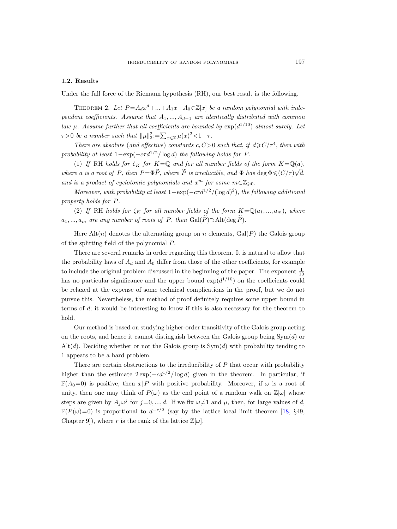## <span id="page-2-0"></span>1.2. Results

Under the full force of the Riemann hypothesis (RH), our best result is the following.

<span id="page-2-1"></span>THEOREM 2. Let  $P = A_d x^d + ... + A_1 x + A_0 \in \mathbb{Z}[x]$  be a random polynomial with independent coefficients. Assume that  $A_1, ..., A_{d-1}$  are identically distributed with common law  $\mu$ . Assume further that all coefficients are bounded by  $\exp(d^{1/10})$  almost surely. Let  $\tau > 0$  be a number such that  $\|\mu\|_2^2 := \sum_{x \in \mathbb{Z}} \mu(x)^2 < 1 - \tau$ .

There are absolute (and effective) constants c, C > 0 such that, if  $d \ge C/\tau^4$ , then with probability at least  $1-\exp(-c\tau d^{1/2}/\log d)$  the following holds for P.

(1) If RH holds for  $\zeta_K$  for  $K = \mathbb{Q}$  and for all number fields of the form  $K = \mathbb{Q}(a)$ , where a is a root of P, then  $P = \Phi \widetilde{P}$ , where  $\widetilde{P}$  is irreducible, and  $\Phi$  has  $\deg \Phi \leqslant (C/\tau)\sqrt{d}$ , and is a product of cyclotomic polynomials and  $x^m$  for some  $m \in \mathbb{Z}_{\geqslant 0}$ .

Moreover, with probability at least  $1 - \exp(-c\tau d^{1/2}/(\log d)^2)$ , the following additional property holds for P.

(2) If RH holds for  $\zeta_K$  for all number fields of the form  $K=\mathbb{Q}(a_1, ..., a_m)$ , where  $a_1, ..., a_m$  are any number of roots of P, then  $Gal(\tilde{P}) \supset Alt(\deg \tilde{P})$ .

Here  $\text{Alt}(n)$  denotes the alternating group on n elements,  $\text{Gal}(P)$  the Galois group of the splitting field of the polynomial P.

There are several remarks in order regarding this theorem. It is natural to allow that the probability laws of  $A_d$  and  $A_0$  differ from those of the other coefficients, for example to include the original problem discussed in the beginning of the paper. The exponent  $\frac{1}{10}$ has no particular significance and the upper bound  $\exp(d^{1/10})$  on the coefficients could be relaxed at the expense of some technical complications in the proof, but we do not pursue this. Nevertheless, the method of proof definitely requires some upper bound in terms of d; it would be interesting to know if this is also necessary for the theorem to hold.

Our method is based on studying higher-order transitivity of the Galois group acting on the roots, and hence it cannot distinguish between the Galois group being  $Sym(d)$  or Alt $(d)$ . Deciding whether or not the Galois group is  $Sym(d)$  with probability tending to 1 appears to be a hard problem.

There are certain obstructions to the irreducibility of  $P$  that occur with probability higher than the estimate  $2 \exp(-cd^{1/2}/\log d)$  given in the theorem. In particular, if  $\mathbb{P}(A_0=0)$  is positive, then  $x|P$  with positive probability. Moreover, if  $\omega$  is a root of unity, then one may think of  $P(\omega)$  as the end point of a random walk on  $\mathbb{Z}[\omega]$  whose steps are given by  $A_j \omega^j$  for  $j=0, ..., d$ . If we fix  $\omega \neq 1$  and  $\mu$ , then, for large values of d,  $\mathbb{P}(P(\omega)=0)$  is proportional to  $d^{-r/2}$  (say by the lattice local limit theorem [\[18,](#page-53-5) §49, Chapter 9]), where r is the rank of the lattice  $\mathbb{Z}[\omega]$ .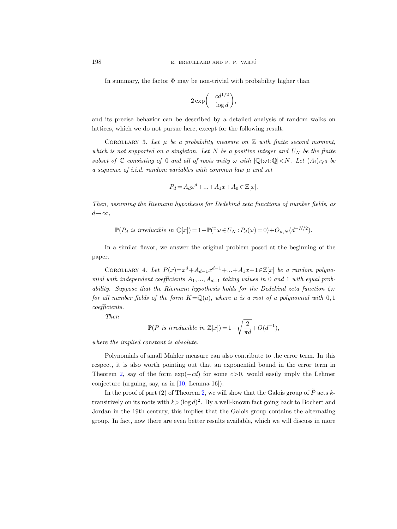In summary, the factor  $\Phi$  may be non-trivial with probability higher than

$$
2\exp\biggl(-\frac{cd^{1/2}}{\log d}\biggr),\,
$$

and its precise behavior can be described by a detailed analysis of random walks on lattices, which we do not pursue here, except for the following result.

<span id="page-3-0"></span>COROLLARY 3. Let  $\mu$  be a probability measure on  $\mathbb Z$  with finite second moment, which is not supported on a singleton. Let  $N$  be a positive integer and  $U_N$  be the finite subset of  $\mathbb C$  consisting of 0 and all of roots unity  $\omega$  with  $[\mathbb Q(\omega):\mathbb Q]\lt N$ . Let  $(A_i)_{i\geqslant 0}$  be a sequence of *i.i.d.* random variables with common law  $\mu$  and set

$$
P_d = A_d x^d + \dots + A_1 x + A_0 \in \mathbb{Z}[x].
$$

Then, assuming the Riemann hypothesis for Dedekind zeta functions of number fields, as  $d \rightarrow \infty$ ,

$$
\mathbb{P}(P_d \text{ is irreducible in } \mathbb{Q}[x]) = 1 - \mathbb{P}(\exists \omega \in U_N : P_d(\omega) = 0) + O_{\mu,N}(d^{-N/2}).
$$

In a similar flavor, we answer the original problem posed at the beginning of the paper.

<span id="page-3-1"></span>COROLLARY 4. Let  $P(x)=x^d+A_{d-1}x^{d-1}+...+A_1x+1\in\mathbb{Z}[x]$  be a random polynomial with independent coefficients  $A_1, ..., A_{d-1}$  taking values in 0 and 1 with equal probability. Suppose that the Riemann hypothesis holds for the Dedekind zeta function  $\zeta_K$ for all number fields of the form  $K=\mathbb{Q}(a)$ , where a is a root of a polynomial with 0, 1 coefficients.

Then

$$
\mathbb{P}(P \text{ is irreducible in } \mathbb{Z}[x]) = 1 - \sqrt{\frac{2}{\pi d}} + O(d^{-1}),
$$

where the implied constant is absolute.

Polynomials of small Mahler measure can also contribute to the error term. In this respect, it is also worth pointing out that an exponential bound in the error term in Theorem [2,](#page-2-1) say of the form  $exp(-cd)$  for some  $c>0$ , would easily imply the Lehmer conjecture (arguing, say, as in [\[10,](#page-53-3) Lemma 16]).

In the proof of part (2) of Theorem [2,](#page-2-1) we will show that the Galois group of  $\widetilde{P}$  acts ktransitively on its roots with  $k > (\log d)^2$ . By a well-known fact going back to Bochert and Jordan in the 19th century, this implies that the Galois group contains the alternating group. In fact, now there are even better results available, which we will discuss in more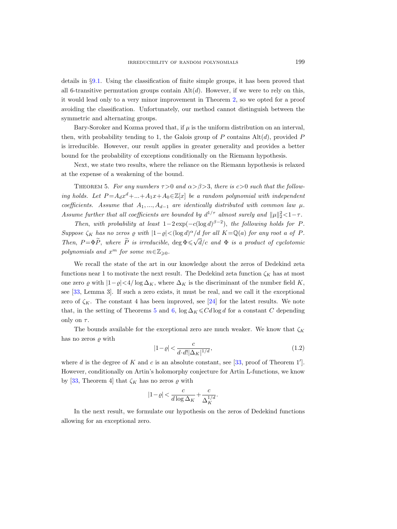details in §[9.1.](#page-46-0) Using the classification of finite simple groups, it has been proved that all 6-transitive permutation groups contain  $Alt(d)$ . However, if we were to rely on this, it would lead only to a very minor improvement in Theorem [2,](#page-2-1) so we opted for a proof avoiding the classification. Unfortunately, our method cannot distinguish between the symmetric and alternating groups.

Bary-Soroker and Kozma proved that, if  $\mu$  is the uniform distribution on an interval, then, with probability tending to 1, the Galois group of  $P$  contains  $\text{Alt}(d)$ , provided  $P$ is irreducible. However, our result applies in greater generality and provides a better bound for the probability of exceptions conditionally on the Riemann hypothesis.

Next, we state two results, where the reliance on the Riemann hypothesis is relaxed at the expense of a weakening of the bound.

<span id="page-4-0"></span>THEOREM 5. For any numbers  $\tau > 0$  and  $\alpha > \beta > 3$ , there is  $c > 0$  such that the following holds. Let  $P = A_d x^d + ... + A_1 x + A_0 \in \mathbb{Z}[x]$  be a random polynomial with independent coefficients. Assume that  $A_1, ..., A_{d-1}$  are identically distributed with common law  $\mu$ . Assume further that all coefficients are bounded by  $d^{1/\tau}$  almost surely and  $\|\mu\|_2^2 < 1 - \tau$ .

Then, with probability at least  $1-2\exp(-c(\log d)^{\beta-2})$ , the following holds for P. Suppose  $\zeta_K$  has no zeros  $\varrho$  with  $|1-\varrho| < (\log d)^{\alpha}/d$  for all  $K = \mathbb{Q}(a)$  for any root a of P. Then,  $P = \Phi \widetilde{P}$ , where  $\widetilde{P}$  is irreducible,  $\deg \Phi \leq \sqrt{d}/c$  and  $\Phi$  is a product of cyclotomic polynomials and  $x^m$  for some  $m \in \mathbb{Z}_{\geqslant 0}$ .

We recall the state of the art in our knowledge about the zeros of Dedekind zeta functions near 1 to motivate the next result. The Dedekind zeta function  $\zeta_K$  has at most one zero  $\varrho$  with  $|1-\varrho|<4/\log\Delta_K$ , where  $\Delta_K$  is the discriminant of the number field K, see [\[33,](#page-54-4) Lemma 3]. If such a zero exists, it must be real, and we call it the exceptional zero of  $\zeta_K$ . The constant 4 has been improved, see [\[24\]](#page-53-6) for the latest results. We note that, in the setting of Theorems [5](#page-4-0) and [6,](#page-5-2)  $\log \Delta_K \leq C d \log d$  for a constant C depending only on  $\tau$ .

The bounds available for the exceptional zero are much weaker. We know that  $\zeta_K$ has no zeros  $\rho$  with

<span id="page-4-1"></span>
$$
|1 - \varrho| < \frac{c}{d \cdot d! |\Delta_K|^{1/d}},\tag{1.2}
$$

where d is the degree of K and c is an absolute constant, see [\[33,](#page-54-4) proof of Theorem 1']. However, conditionally on Artin's holomorphy conjecture for Artin L-functions, we know by [\[33,](#page-54-4) Theorem 4] that  $\zeta_K$  has no zeros  $\varrho$  with

$$
|1-\varrho| < \frac{c}{d\log \Delta_K} + \frac{c}{\Delta_K^{1/d}}.
$$

In the next result, we formulate our hypothesis on the zeros of Dedekind functions allowing for an exceptional zero.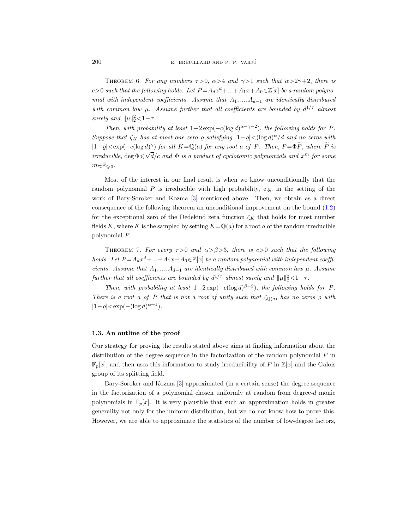<span id="page-5-2"></span>THEOREM 6. For any numbers  $\tau > 0$ ,  $\alpha > 4$  and  $\gamma > 1$  such that  $\alpha > 2\gamma + 2$ , there is c>0 such that the following holds. Let  $P = A_d x^d + ... + A_1 x + A_0 \in \mathbb{Z}[x]$  be a random polynomial with independent coefficients. Assume that  $A_1, ..., A_{d-1}$  are identically distributed with common law  $\mu$ . Assume further that all coefficients are bounded by  $d^{1/\tau}$  almost surely and  $\|\mu\|_2^2 < 1 - \tau$ .

Then, with probability at least  $1-2\exp(-c(\log d)^{\alpha-\gamma-2})$ , the following holds for P. Suppose that  $\zeta_K$  has at most one zero  $\varrho$  satisfying  $|1-\varrho|<(\log d)^{\alpha}/d$  and no zeros with  $|1-\varrho| < \exp(-c(\log d)^\gamma)$  for all  $K = \mathbb{Q}(a)$  for any root a of P. Then,  $P = \Phi \widetilde{P}$ , where  $\widetilde{P}$  is irreducible,  $\deg \Phi \leq \sqrt{d}/c$  and  $\Phi$  is a product of cyclotomic polynomials and  $x^m$  for some  $m \in \mathbb{Z}_{\geqslant 0}$ .

Most of the interest in our final result is when we know unconditionally that the random polynomial  $P$  is irreducible with high probability, e.g. in the setting of the work of Bary-Soroker and Kozma [\[3\]](#page-53-0) mentioned above. Then, we obtain as a direct consequence of the following theorem an unconditional improvement on the bound [\(1.2\)](#page-4-1) for the exceptional zero of the Dedekind zeta function  $\zeta_K$  that holds for most number fields K, where K is the sampled by setting  $K=\mathbb{Q}(a)$  for a root a of the random irreducible polynomial P.

<span id="page-5-1"></span>THEOREM 7. For every  $\tau > 0$  and  $\alpha > \beta > 3$ , there is c  $> 0$  such that the following holds. Let  $P = A_d x^d + ... + A_1 x + A_0 \in \mathbb{Z}[x]$  be a random polynomial with independent coefficients. Assume that  $A_1, ..., A_{d-1}$  are identically distributed with common law  $\mu$ . Assume further that all coefficients are bounded by  $d^{1/\tau}$  almost surely and  $\|\mu\|_2^2 < 1 - \tau$ .

Then, with probability at least  $1-2\exp(-c(\log d)^{\beta-2})$ , the following holds for P. There is a root a of P that is not a root of unity such that  $\zeta_{\mathbb{Q}(a)}$  has no zeros  $\varrho$  with  $|1-\varrho| < \exp(-(\log d)^{\alpha+1}).$ 

### <span id="page-5-0"></span>1.3. An outline of the proof

Our strategy for proving the results stated above aims at finding information about the distribution of the degree sequence in the factorization of the random polynomial  $P$  in  $\mathbb{F}_p[x]$ , and then uses this information to study irreducibility of P in  $\mathbb{Z}[x]$  and the Galois group of its splitting field.

Bary-Soroker and Kozma [\[3\]](#page-53-0) approximated (in a certain sense) the degree sequence in the factorization of a polynomial chosen uniformly at random from degree- $d$  monic polynomials in  $\mathbb{F}_p[x]$ . It is very plausible that such an approximation holds in greater generality not only for the uniform distribution, but we do not know how to prove this. However, we are able to approximate the statistics of the number of low-degree factors,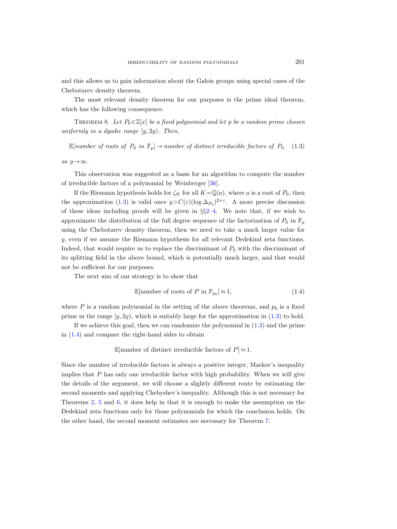and this allows us to gain information about the Galois groups using special cases of the Chebotarev density theorem.

The most relevant density theorem for our purposes is the prime ideal theorem, which has the following consequence.

<span id="page-6-2"></span>THEOREM 8. Let  $P_0 \in \mathbb{Z}[x]$  be a fixed polynomial and let p be a random prime chosen uniformly in a dyadic range  $[y, 2y)$ . Then,

<span id="page-6-0"></span>E[number of roots of  $P_0$  in  $\mathbb{F}_p$ ]  $\rightarrow$  number of distinct irreducible factors of  $P_0$  (1.3)

as  $y \rightarrow \infty$ .

This observation was suggested as a basis for an algorithm to compute the number of irreducible factors of a polynomial by Weinberger [\[36\]](#page-54-5).

If the Riemann hypothesis holds for  $\zeta_K$  for all  $K=\mathbb{Q}(a)$ , where a is a root of  $P_0$ , then the approximation [\(1.3\)](#page-6-0) is valid once  $y > C(\varepsilon)(\log \Delta_{P_0})^{2+\varepsilon}$ . A more precise discussion of these ideas including proofs will be given in §§[2–](#page-9-0)[4.](#page-19-0) We note that, if we wish to approximate the distribution of the full degree sequence of the factorization of  $P_0$  in  $\mathbb{F}_p$ using the Chebotarev density theorem, then we need to take a much larger value for y, even if we assume the Riemann hypothesis for all relevant Dedekind zeta functions. Indeed, that would require us to replace the discriminant of  $P_0$  with the discriminant of its splitting field in the above bound, which is potentially much larger, and that would not be sufficient for our purposes.

The next aim of our strategy is to show that

<span id="page-6-1"></span>
$$
\mathbb{E}[\text{number of roots of } P \text{ in } \mathbb{F}_{p_0}] \approx 1,\tag{1.4}
$$

where P is a random polynomial in the setting of the above theorems, and  $p_0$  is a fixed prime in the range  $[y, 2y)$ , which is suitably large for the approximation in [\(1.3\)](#page-6-0) to hold.

If we achieve this goal, then we can randomize the polynomial in [\(1.3\)](#page-6-0) and the prime in [\(1.4\)](#page-6-1) and compare the right-hand sides to obtain

E[number of distinct irreducible factors of  $P \approx 1$ .

Since the number of irreducible factors is always a positive integer, Markov's inequality implies that  $P$  has only one irreducible factor with high probability. When we will give the details of the argument, we will choose a slightly different route by estimating the second moments and applying Chebyshev's inequality. Although this is not necessary for Theorems [2,](#page-2-1) [5](#page-4-0) and [6,](#page-5-2) it does help in that it is enough to make the assumption on the Dedekind zeta functions only for those polynomials for which the conclusion holds. On the other hand, the second moment estimates are necessary for Theorem [7.](#page-5-1)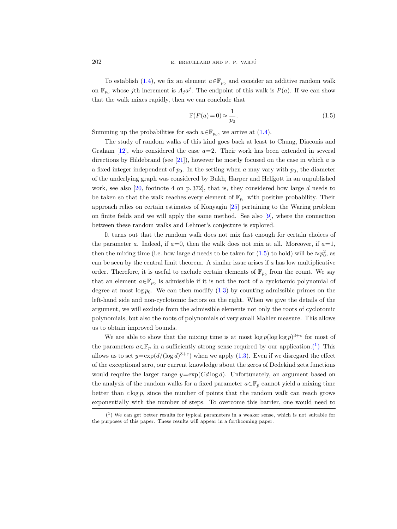To establish [\(1.4\)](#page-6-1), we fix an element  $a \in \mathbb{F}_{p_0}$  and consider an additive random walk on  $\mathbb{F}_{p_0}$  whose jth increment is  $A_j a^j$ . The endpoint of this walk is  $P(a)$ . If we can show that the walk mixes rapidly, then we can conclude that

<span id="page-7-0"></span>
$$
\mathbb{P}(P(a) = 0) \approx \frac{1}{p_0}.\tag{1.5}
$$

Summing up the probabilities for each  $a \in \mathbb{F}_{p_0}$ , we arrive at [\(1.4\)](#page-6-1).

The study of random walks of this kind goes back at least to Chung, Diaconis and Graham  $[12]$ , who considered the case  $a=2$ . Their work has been extended in several directions by Hildebrand (see  $[21]$ ), however he mostly focused on the case in which a is a fixed integer independent of  $p_0$ . In the setting when a may vary with  $p_0$ , the diameter of the underlying graph was considered by Bukh, Harper and Helfgott in an unpublished work, see also  $[20, 60]$  $[20, 60]$  footnote 4 on p. 372, that is, they considered how large d needs to be taken so that the walk reaches every element of  $\mathbb{F}_{p_0}$  with positive probability. Their approach relies on certain estimates of Konyagin [\[25\]](#page-54-6) pertaining to the Waring problem on finite fields and we will apply the same method. See also [\[9\]](#page-53-10), where the connection between these random walks and Lehmer's conjecture is explored.

It turns out that the random walk does not mix fast enough for certain choices of the parameter a. Indeed, if  $a=0$ , then the walk does not mix at all. Moreover, if  $a=1$ , then the mixing time (i.e. how large d needs to be taken for  $(1.5)$  to hold) will be  $\approx p_0^2$ , as can be seen by the central limit theorem. A similar issue arises if  $a$  has low multiplicative order. Therefore, it is useful to exclude certain elements of  $\mathbb{F}_{p_0}$  from the count. We say that an element  $a \in \mathbb{F}_{p_0}$  is admissible if it is not the root of a cyclotomic polynomial of degree at most  $\log p_0$ . We can then modify  $(1.3)$  by counting admissible primes on the left-hand side and non-cyclotomic factors on the right. When we give the details of the argument, we will exclude from the admissible elements not only the roots of cyclotomic polynomials, but also the roots of polynomials of very small Mahler measure. This allows us to obtain improved bounds.

We are able to show that the mixing time is at most  $\log p(\log \log p)^{3+\epsilon}$  for most of the parameters  $a \in \mathbb{F}_p$  in a sufficiently strong sense required by our application.<sup>(1</sup>) This allows us to set  $y = \exp(d/(\log d)^{3+\epsilon})$  when we apply [\(1.3\)](#page-6-0). Even if we disregard the effect of the exceptional zero, our current knowledge about the zeros of Dedekind zeta functions would require the larger range  $y=\exp(Cd\log d)$ . Unfortunately, an argument based on the analysis of the random walks for a fixed parameter  $a \in \mathbb{F}_p$  cannot yield a mixing time better than  $c \log p$ , since the number of points that the random walk can reach grows exponentially with the number of steps. To overcome this barrier, one would need to

<span id="page-7-1"></span> $(1)$  We can get better results for typical parameters in a weaker sense, which is not suitable for the purposes of this paper. These results will appear in a forthcoming paper.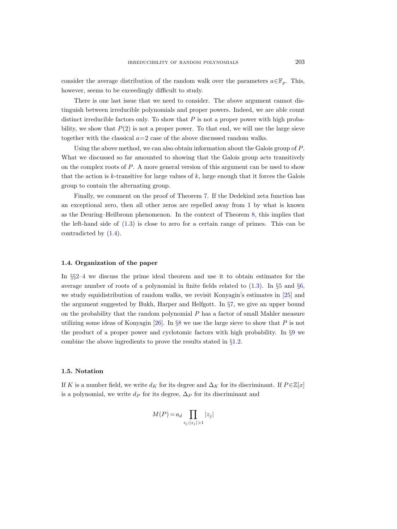consider the average distribution of the random walk over the parameters  $a \in \mathbb{F}_n$ . This, however, seems to be exceedingly difficult to study.

There is one last issue that we need to consider. The above argument cannot distinguish between irreducible polynomials and proper powers. Indeed, we are able count distinct irreducible factors only. To show that  $P$  is not a proper power with high probability, we show that  $P(2)$  is not a proper power. To that end, we will use the large sieve together with the classical  $a=2$  case of the above discussed random walks.

Using the above method, we can also obtain information about the Galois group of P. What we discussed so far amounted to showing that the Galois group acts transitively on the complex roots of P. A more general version of this argument can be used to show that the action is k-transitive for large values of  $k$ , large enough that it forces the Galois group to contain the alternating group.

Finally, we comment on the proof of Theorem [7.](#page-5-1) If the Dedekind zeta function has an exceptional zero, then all other zeros are repelled away from 1 by what is known as the Deuring–Heilbronn phenomenon. In the context of Theorem [8,](#page-6-2) this implies that the left-hand side of  $(1.3)$  is close to zero for a certain range of primes. This can be contradicted by [\(1.4\)](#page-6-1).

## 1.4. Organization of the paper

In §§[2](#page-9-0)[–4](#page-19-0) we discuss the prime ideal theorem and use it to obtain estimates for the average number of roots of a polynomial in finite fields related to  $(1.3)$ . In §[5](#page-22-0) and §[6,](#page-36-0) we study equidistribution of random walks, we revisit Konyagin's estimates in [\[25\]](#page-54-6) and the argument suggested by Bukh, Harper and Helfgott. In §[7,](#page-40-0) we give an upper bound on the probability that the random polynomial  $P$  has a factor of small Mahler measure utilizing some ideas of Konyagin  $[26]$ . In §[8](#page-42-0) we use the large sieve to show that P is not the product of a proper power and cyclotomic factors with high probability. In §[9](#page-45-0) we combine the above ingredients to prove the results stated in §[1.2.](#page-2-0)

#### 1.5. Notation

If K is a number field, we write  $d_K$  for its degree and  $\Delta_K$  for its discriminant. If  $P \in \mathbb{Z}[x]$ is a polynomial, we write  $d_P$  for its degree,  $\Delta_P$  for its discriminant and

$$
M(P) = a_d \prod_{z_j : |z_j| > 1} |z_j|
$$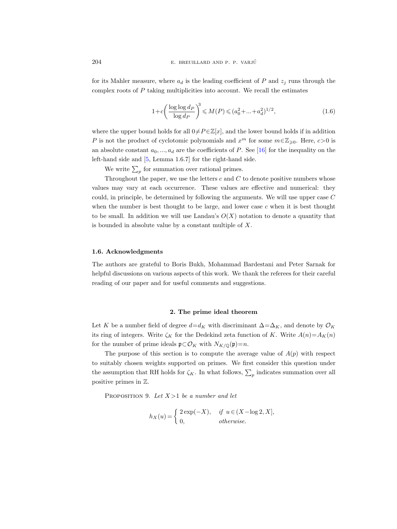for its Mahler measure, where  $a_d$  is the leading coefficient of P and  $z_i$  runs through the complex roots of  $P$  taking multiplicities into account. We recall the estimates

<span id="page-9-2"></span>
$$
1 + c \left( \frac{\log \log d_P}{\log d_P} \right)^3 \leqslant M(P) \leqslant (a_0^2 + \dots + a_d^2)^{1/2},\tag{1.6}
$$

where the upper bound holds for all  $0 \neq P \in \mathbb{Z}[x]$ , and the lower bound holds if in addition P is not the product of cyclotomic polynomials and  $x^m$  for some  $m \in \mathbb{Z}_{\geqslant 0}$ . Here,  $c > 0$  is an absolute constant  $a_0, ..., a_d$  are the coefficients of P. See [\[16\]](#page-53-11) for the inequality on the left-hand side and [\[5,](#page-53-12) Lemma 1.6.7] for the right-hand side.

We write  $\sum_{p}$  for summation over rational primes.

Throughout the paper, we use the letters  $c$  and  $C$  to denote positive numbers whose values may vary at each occurrence. These values are effective and numerical: they could, in principle, be determined by following the arguments. We will use upper case C when the number is best thought to be large, and lower case  $c$  when it is best thought to be small. In addition we will use Landau's  $O(X)$  notation to denote a quantity that is bounded in absolute value by a constant multiple of X.

#### 1.6. Acknowledgments

The authors are grateful to Boris Bukh, Mohammad Bardestani and Peter Sarnak for helpful discussions on various aspects of this work. We thank the referees for their careful reading of our paper and for useful comments and suggestions.

#### 2. The prime ideal theorem

<span id="page-9-0"></span>Let K be a number field of degree  $d=d_K$  with discriminant  $\Delta=\Delta_K$ , and denote by  $\mathcal{O}_K$ its ring of integers. Write  $\zeta_K$  for the Dedekind zeta function of K. Write  $A(n)=A_K(n)$ for the number of prime ideals  $\mathfrak{p} \subset \mathcal{O}_K$  with  $N_{K/\mathbb{Q}}(\mathfrak{p})=n$ .

The purpose of this section is to compute the average value of  $A(p)$  with respect to suitably chosen weights supported on primes. We first consider this question under the assumption that RH holds for  $\zeta_K$ . In what follows,  $\sum_p$  indicates summation over all positive primes in Z.

<span id="page-9-1"></span>PROPOSITION 9. Let  $X > 1$  be a number and let

$$
h_X(u) = \begin{cases} 2 \exp(-X), & \text{if } u \in (X - \log 2, X], \\ 0, & \text{otherwise.} \end{cases}
$$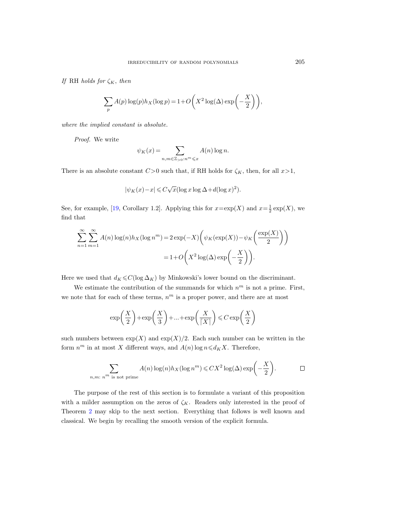If RH holds for  $\zeta_K$ , then

$$
\sum_{p} A(p) \log(p) h_X(\log p) = 1 + O\left(X^2 \log(\Delta) \exp\left(-\frac{X}{2}\right)\right),\,
$$

where the implied constant is absolute.

Proof. We write

$$
\psi_K(x) = \sum_{n,m \in \mathbb{Z}_{>0}: n^m \leq x} A(n) \log n.
$$

There is an absolute constant  $C>0$  such that, if RH holds for  $\zeta_K$ , then, for all  $x>1$ ,

$$
|\psi_K(x) - x| \leqslant C\sqrt{x}(\log x \log \Delta + d(\log x)^2).
$$

See, for example, [\[19,](#page-53-13) Corollary 1.2]. Applying this for  $x = \exp(X)$  and  $x = \frac{1}{2} \exp(X)$ , we find that

$$
\sum_{n=1}^{\infty} \sum_{m=1}^{\infty} A(n) \log(n) h_X(\log n^m) = 2 \exp(-X) \left( \psi_K(\exp(X)) - \psi_K\left(\frac{\exp(X)}{2}\right) \right)
$$

$$
= 1 + O\left(X^2 \log(\Delta) \exp\left(-\frac{X}{2}\right)\right).
$$

Here we used that  $d_K \leq C(\log \Delta_K)$  by Minkowski's lower bound on the discriminant.

We estimate the contribution of the summands for which  $n^m$  is not a prime. First, we note that for each of these terms,  $n^m$  is a proper power, and there are at most

$$
\exp\left(\frac{X}{2}\right) + \exp\left(\frac{X}{3}\right) + \dots + \exp\left(\frac{X}{\lceil X\rceil}\right) \leqslant C \exp\left(\frac{X}{2}\right)
$$

such numbers between  $\exp(X)$  and  $\exp(X)/2$ . Each such number can be written in the form  $n^m$  in at most X different ways, and  $A(n)$  log  $n \leq d_K X$ . Therefore,

$$
\sum_{n,m:\ n^m \text{ is not prime}} A(n) \log(n) h_X(\log n^m) \leqslant C X^2 \log(\Delta) \exp\left(-\frac{X}{2}\right).
$$

The purpose of the rest of this section is to formulate a variant of this proposition with a milder assumption on the zeros of  $\zeta_K$ . Readers only interested in the proof of Theorem [2](#page-2-1) may skip to the next section. Everything that follows is well known and classical. We begin by recalling the smooth version of the explicit formula.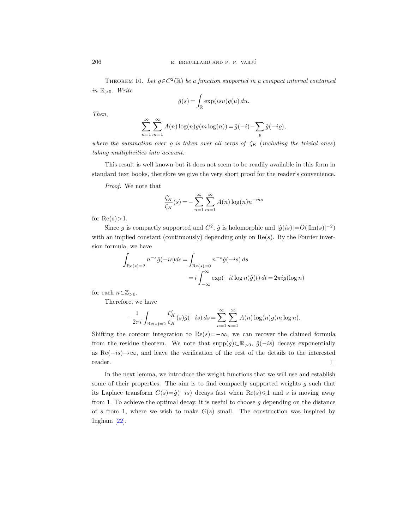<span id="page-11-0"></span>THEOREM 10. Let  $g \in C^2(\mathbb{R})$  be a function supported in a compact interval contained in  $\mathbb{R}_{>0}$ . Write

$$
\hat{g}(s) = \int_{\mathbb{R}} \exp(isu)g(u) \, du.
$$

Then,

$$
\sum_{n=1}^{\infty} \sum_{m=1}^{\infty} A(n) \log(n) g(m \log(n)) = \hat{g}(-i) - \sum_{\varrho} \hat{g}(-i\varrho),
$$

where the summation over  $\rho$  is taken over all zeros of  $\zeta_K$  (including the trivial ones) taking multiplicities into account.

This result is well known but it does not seem to be readily available in this form in standard text books, therefore we give the very short proof for the reader's convenience.

Proof. We note that

$$
\frac{\zeta_K'}{\zeta_K}(s) = -\sum_{n=1}^{\infty} \sum_{m=1}^{\infty} A(n) \log(n) n^{-ms}
$$

for  $\text{Re}(s)$  > 1.

Since g is compactly supported and  $C^2$ ,  $\hat{g}$  is holomorphic and  $|\hat{g}(is)| = O(|\text{Im}(s)|^{-2})$ with an implied constant (continuously) depending only on  $Re(s)$ . By the Fourier inversion formula, we have

$$
\int_{\text{Re}(s)=2} n^{-s}\hat{g}(-is)ds = \int_{\text{Re}(s)=0} n^{-s}\hat{g}(-is) ds
$$

$$
= i \int_{-\infty}^{\infty} \exp(-it \log n)\hat{g}(t) dt = 2\pi i g(\log n)
$$

for each  $n\in\mathbb{Z}_{>0}$ .

Therefore, we have

$$
-\frac{1}{2\pi i} \int_{\text{Re}(s)=2} \frac{\zeta_K'}{\zeta_K}(s)\hat{g}(-is) ds = \sum_{n=1}^{\infty} \sum_{m=1}^{\infty} A(n) \log(n)g(m \log n).
$$

Shifting the contour integration to Re $(s)=-\infty$ , we can recover the claimed formula from the residue theorem. We note that  $\text{supp}(g) \subset \mathbb{R}_{>0}$ ,  $\hat{g}(-is)$  decays exponentially as Re $(-is) \rightarrow \infty$ , and leave the verification of the rest of the details to the interested reader.  $\Box$ 

In the next lemma, we introduce the weight functions that we will use and establish some of their properties. The aim is to find compactly supported weights  $g$  such that its Laplace transform  $G(s) = \hat{g}(-is)$  decays fast when  $\text{Re}(s) \leq 1$  and s is moving away from 1. To achieve the optimal decay, it is useful to choose  $g$  depending on the distance of s from 1, where we wish to make  $G(s)$  small. The construction was inspired by Ingham [\[22\]](#page-53-14).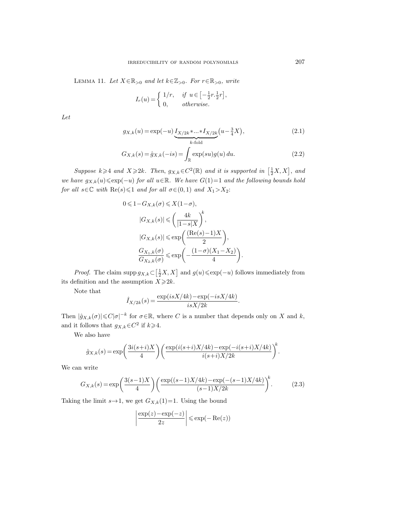<span id="page-12-1"></span>LEMMA 11. Let  $X \in \mathbb{R}_{>0}$  and let  $k \in \mathbb{Z}_{>0}$ . For  $r \in \mathbb{R}_{>0}$ , write

$$
I_r(u) = \begin{cases} 1/r, & \text{if } u \in \left[-\frac{1}{2}r, \frac{1}{2}r\right], \\ 0, & \text{otherwise.} \end{cases}
$$

Let

$$
g_{X,k}(u) = \exp(-u) \underbrace{I_{X/2k} * ... * I_{X/2k}}_{k\text{-fold}} (u - \frac{3}{4}X),
$$
\n(2.1)

$$
G_{X,k}(s) = \hat{g}_{X,k}(-is) = \int_{\mathbb{R}} \exp(su)g(u) \, du.
$$
 (2.2)

Suppose  $k \geqslant 4$  and  $X \geqslant 2k$ . Then,  $g_{X,k} \in C^2(\mathbb{R})$  and it is supported in  $\left[\frac{1}{2}X, X\right]$ , and we have  $g_{X,k}(u) \leqslant \exp(-u)$  for all  $u \in \mathbb{R}$ . We have  $G(1)=1$  and the following bounds hold for all  $s \in \mathbb{C}$  with  $\text{Re}(s) \leq 1$  and for all  $\sigma \in (0, 1)$  and  $X_1 > X_2$ :

$$
0 \leq 1 - G_{X,k}(\sigma) \leq X(1 - \sigma),
$$
  
\n
$$
|G_{X,k}(s)| \leq \left(\frac{4k}{|1 - s|X}\right)^k,
$$
  
\n
$$
|G_{X,k}(s)| \leq \exp\left(\frac{(\text{Re}(s) - 1)X}{2}\right),
$$
  
\n
$$
\frac{G_{X_1,k}(\sigma)}{G_{X_2,k}(\sigma)} \leq \exp\left(-\frac{(1 - \sigma)(X_1 - X_2)}{4}\right).
$$

*Proof.* The claim supp  $g_{X,k} \subset \left[\frac{1}{2}X, X\right]$  and  $g(u) \leq \exp(-u)$  follows immediately from its definition and the assumption  $X\geq 2k$ .

Note that

$$
\hat{I}_{X/2k}(s) = \frac{\exp(isX/4k) - \exp(-isX/4k)}{isX/2k}.
$$

Then  $|\hat{g}_{X,k}(\sigma)| \leq C|\sigma|^{-k}$  for  $\sigma \in \mathbb{R}$ , where C is a number that depends only on X and k, and it follows that  $g_{X,k} \in C^2$  if  $k \geq 4$ .

We also have

$$
\hat{g}_{X,k}(s) = \exp\left(\frac{3i(s+i)X}{4}\right) \left(\frac{\exp(i(s+i)X/4k) - \exp(-i(s+i)X/4k)}{i(s+i)X/2k}\right)^k.
$$

We can write

<span id="page-12-0"></span>
$$
G_{X,k}(s) = \exp\left(\frac{3(s-1)X}{4}\right) \left(\frac{\exp((s-1)X/4k) - \exp(-(s-1)X/4k)}{(s-1)X/2k}\right)^k.
$$
 (2.3)

Taking the limit  $s\rightarrow 1$ , we get  $G_{X,k}(1)=1$ . Using the bound

$$
\left|\frac{\exp(z) - \exp(-z)}{2z}\right| \le \exp(-\operatorname{Re}(z))
$$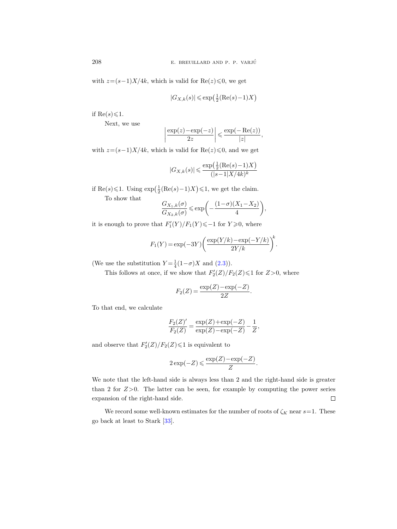with  $z=(s-1)X/4k$ , which is valid for Re(z) ≤0, we get

$$
|G_{X,k}(s)|\leqslant \exp\!\big(\tfrac{1}{2}(\mathrm{Re}(s)\!-\!1)X\big)
$$

if Re $(s) \leq 1$ .

Next, we use

$$
\left|\frac{\exp(z)-\exp(-z)}{2z}\right| \leq \frac{\exp(-\operatorname{Re}(z))}{|z|},
$$

with  $z=(s-1)X/4k$ , which is valid for  $\text{Re}(z)\leq 0$ , and we get

$$
|G_{X,k}(s)| \leqslant \frac{\exp\left(\frac{1}{2}(\mathrm{Re}(s)-1)X\right)}{(|s-1|X/4k)^k}
$$

if Re(s) ≤ 1. Using  $\exp\left(\frac{1}{2}(\text{Re}(s)-1)X\right)$  ≤ 1, we get the claim.

To show that

$$
\frac{G_{X_1,k}(\sigma)}{G_{X_2,k}(\sigma)} \leqslant \exp\bigg(-\frac{(1-\sigma)(X_1 - X_2)}{4}\bigg),
$$

it is enough to prove that  $F_1'(Y)/F_1(Y) \leq -1$  for  $Y \geq 0$ , where

$$
F_1(Y) = \exp(-3Y) \left( \frac{\exp(Y/k) - \exp(-Y/k)}{2Y/k} \right)^k.
$$

(We use the substitution  $Y = \frac{1}{4}(1-\sigma)X$  and  $(2.3)$ ).

This follows at once, if we show that  $F_2'(Z)/F_2(Z) \leq 1$  for  $Z>0$ , where

$$
F_2(Z) = \frac{\exp(Z) - \exp(-Z)}{2Z}.
$$

To that end, we calculate

$$
\frac{F_2(Z)'}{F_2(Z)} = \frac{\exp(Z) + \exp(-Z)}{\exp(Z) - \exp(-Z)} - \frac{1}{Z},
$$

and observe that  $F_2'(Z)/F_2(Z) \leq 1$  is equivalent to

$$
2\exp(-Z)\leqslant \frac{\exp(Z)-\exp(-Z)}{Z}.
$$

We note that the left-hand side is always less than 2 and the right-hand side is greater than 2 for  $Z>0$ . The latter can be seen, for example by computing the power series expansion of the right-hand side.  $\Box$ 

We record some well-known estimates for the number of roots of  $\zeta_K$  near  $s=1$ . These go back at least to Stark [\[33\]](#page-54-4).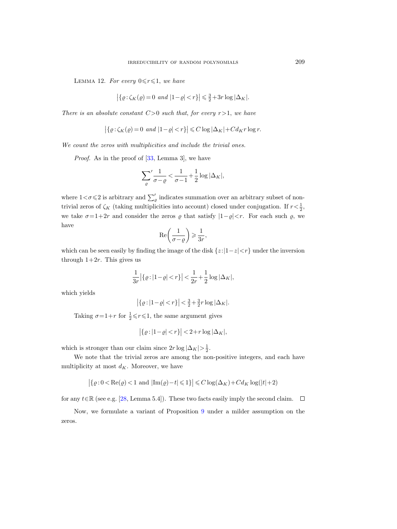<span id="page-14-0"></span>LEMMA 12. For every  $0 \le r \le 1$ , we have

$$
|\{ \varrho : \zeta_K(\varrho) = 0 \text{ and } |1-\varrho| < r \}| \leq \frac{3}{2} + 3r \log |\Delta_K|.
$$

There is an absolute constant  $C>0$  such that, for every  $r>1$ , we have

$$
\left| \{ \varrho : \zeta_K(\varrho) = 0 \text{ and } |1 - \varrho| < r \} \right| \leq C \log |\Delta_K| + C d_K r \log r.
$$

We count the zeros with multiplicities and include the trivial ones.

Proof. As in the proof of [\[33,](#page-54-4) Lemma 3], we have

$$
\sum_{\varrho}^{\prime} \frac{1}{\sigma - \varrho} < \frac{1}{\sigma - 1} + \frac{1}{2} \log |\Delta_K|,
$$

where  $1 < \sigma \leq 2$  is arbitrary and  $\sum_{\varrho}^{\prime}$  indicates summation over an arbitrary subset of nontrivial zeros of  $\zeta_K$  (taking multiplicities into account) closed under conjugation. If  $r < \frac{1}{2}$ , we take  $\sigma=1+2r$  and consider the zeros  $\varrho$  that satisfy  $|1-\varrho|< r$ . For each such  $\varrho$ , we have

$$
\operatorname{Re}\left(\frac{1}{\sigma-\varrho}\right) \geqslant \frac{1}{3r},
$$

which can be seen easily by finding the image of the disk  $\{z:|1-z|< r\}$  under the inversion through  $1+2r$ . This gives us

$$
\frac{1}{3r} |\{\varrho : |1-\varrho| < r\}| < \frac{1}{2r} + \frac{1}{2} \log |\Delta_K|,
$$

which yields

$$
\left|\left\{ \varrho :\left|1-\varrho\right| < r\right\}\right| < \tfrac{3}{2} + \tfrac{3}{2} r \log |\Delta_K|.
$$

Taking  $\sigma = 1+r$  for  $\frac{1}{2} \le r \le 1$ , the same argument gives

$$
\left| \{ \varrho : |1 - \varrho| < r \} \right| < 2 + r \log |\Delta_K|,
$$

which is stronger than our claim since  $2r \log |\Delta_K| > \frac{1}{2}$ .

We note that the trivial zeros are among the non-positive integers, and each have multiplicity at most  $d_K.$  Moreover, we have

$$
\big|\{\varrho\hspace{.05em}:\hspace{-.05em}0<\text{Re}(\varrho)\hspace{.05em}<\hspace{-.05em}1\text{ and }|\text{Im}(\varrho)\hspace{-.05em}-\hspace{-.05em}t|\hspace{-.05em}\leqslant\hspace{-.05em}1\} \big|\leqslant C\log(\Delta_K)+Cd_K\log(|t|+2)
$$

for any  $t \in \mathbb{R}$  (see e.g. [\[28,](#page-54-7) Lemma 5.4]). These two facts easily imply the second claim.  $\Box$ 

Now, we formulate a variant of Proposition [9](#page-9-1) under a milder assumption on the zeros.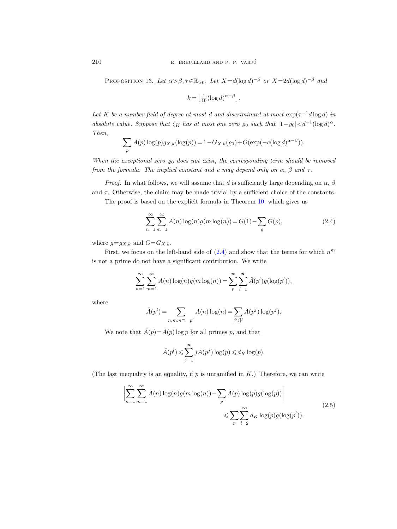<span id="page-15-2"></span>PROPOSITION 13. Let  $\alpha > \beta, \tau \in \mathbb{R}_{>0}$ . Let  $X = d(\log d)^{-\beta}$  or  $X = 2d(\log d)^{-\beta}$  and

$$
k = \left\lfloor \frac{1}{10} (\log d)^{\alpha - \beta} \right\rfloor.
$$

Let K be a number field of degree at most d and discriminant at most  $\exp(\tau^{-1}d\log d)$  in absolute value. Suppose that  $\zeta_K$  has at most one zero  $\varrho_0$  such that  $|1-\varrho_0| < d^{-1}(\log d)^\alpha$ . Then,

$$
\sum_{p} A(p) \log(p) g_{X,k}(\log(p)) = 1 - G_{X,k}(\varrho_0) + O(\exp(-c(\log d)^{\alpha - \beta})).
$$

When the exceptional zero  $\varrho_0$  does not exist, the corresponding term should be removed from the formula. The implied constant and c may depend only on  $\alpha$ ,  $\beta$  and  $\tau$ .

*Proof.* In what follows, we will assume that d is sufficiently large depending on  $\alpha$ ,  $\beta$ and  $\tau$ . Otherwise, the claim may be made trivial by a sufficient choice of the constants.

The proof is based on the explicit formula in Theorem [10,](#page-11-0) which gives us

<span id="page-15-0"></span>
$$
\sum_{n=1}^{\infty} \sum_{m=1}^{\infty} A(n) \log(n) g(m \log(n)) = G(1) - \sum_{\varrho} G(\varrho),
$$
\n(2.4)

where  $g = g_{X,k}$  and  $G = G_{X,k}$ .

First, we focus on the left-hand side of  $(2.4)$  and show that the terms for which  $n^m$ is not a prime do not have a significant contribution. We write

$$
\sum_{n=1}^{\infty} \sum_{m=1}^{\infty} A(n) \log(n) g(m \log(n)) = \sum_{p}^{\infty} \sum_{l=1}^{\infty} \tilde{A}(p^{l}) g(\log(p^{l})),
$$

where

$$
\tilde{A}(p^{l}) = \sum_{n,m:n^{m} = p^{l}} A(n) \log(n) = \sum_{j:j|l} A(p^{j}) \log(p^{j}).
$$

We note that  $\tilde{A}(p) = A(p) \log p$  for all primes p, and that

$$
\tilde{A}(p^{l}) \leqslant \sum_{j=1}^{\infty} j A(p^{j}) \log(p) \leqslant d_{K} \log(p).
$$

<span id="page-15-1"></span>(The last inequality is an equality, if  $p$  is unramified in  $K$ .) Therefore, we can write

$$
\left| \sum_{n=1}^{\infty} \sum_{m=1}^{\infty} A(n) \log(n) g(m \log(n)) - \sum_{p} A(p) \log(p) g(\log(p)) \right|
$$
  

$$
\leqslant \sum_{p} \sum_{l=2}^{\infty} d_K \log(p) g(\log(p^l)).
$$
\n(2.5)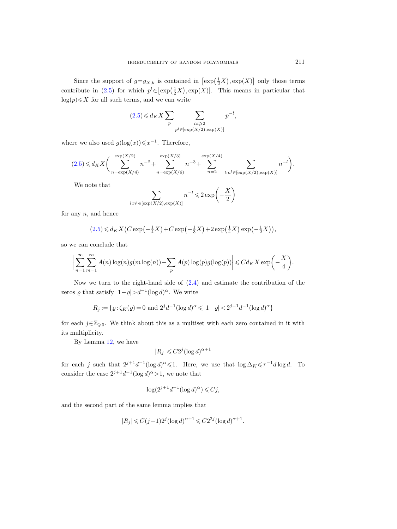Since the support of  $g=g_{X,k}$  is contained in  $\left[\exp\left(\frac{1}{2}X\right), \exp(X)\right]$  only those terms contribute in [\(2.5\)](#page-15-1) for which  $p^l \in [\exp(\frac{1}{2}X), \exp(X)]$ . This means in particular that  $log(p) \leq X$  for all such terms, and we can write

$$
(2.5) \leq d_K X \sum_{p} \sum_{\substack{l:l \geqslant 2 \\ p^l \in [\exp(X/2), \exp(X)]}} p^{-l},
$$

where we also used  $g(\log(x)) \leq x^{-1}$ . Therefore,

$$
(2.5) \le d_K X \bigg( \sum_{n = \exp(X/4)}^{\exp(X/2)} n^{-2} + \sum_{n = \exp(X/6)}^{\exp(X/3)} n^{-3} + \sum_{n = 2}^{\exp(X/4)} \sum_{l:n^l \in [\exp(X/2), \exp(X)]} n^{-l} \bigg).
$$

We note that

$$
\sum_{l:n^l \in [\exp(X/2), \exp(X)]} n^{-l} \leq 2 \exp\left(-\frac{X}{2}\right)
$$

for any  $n$ , and hence

$$
(2.5) \le d_K X \left( C \exp\left(-\frac{1}{4}X\right) + C \exp\left(-\frac{1}{3}X\right) + 2 \exp\left(\frac{1}{4}X\right) \exp\left(-\frac{1}{2}X\right) \right),\,
$$

so we can conclude that

$$
\bigg|\sum_{n=1}^{\infty}\sum_{m=1}^{\infty}A(n)\log(n)g(m\log(n))-\sum_{p}A(p)\log(p)g(\log(p))\bigg|\leqslant Cd_KX\exp\bigg(-\frac{X}{4}\bigg).
$$

Now we turn to the right-hand side of  $(2.4)$  and estimate the contribution of the zeros  $\varrho$  that satisfy  $|1-\varrho| > d^{-1} (\log d)^{\alpha}$ . We write

$$
R_j := \{ \varrho : \zeta_K(\varrho) = 0 \text{ and } 2^j d^{-1} (\log d)^{\alpha} \leq 1 - \varrho \, \text{and} \, 2^{j+1} d^{-1} (\log d)^{\alpha} \}
$$

for each  $j\in\mathbb{Z}_{\geqslant0}$ . We think about this as a multiset with each zero contained in it with its multiplicity.

By Lemma [12,](#page-14-0) we have

$$
|R_j| \leqslant C2^j (\log d)^{\alpha + 1}
$$

for each j such that  $2^{j+1}d^{-1}(\log d)^\alpha \leq 1$ . Here, we use that  $\log \Delta_K \leq \tau^{-1}d \log d$ . To consider the case  $2^{j+1}d^{-1}(\log d)^{\alpha} > 1$ , we note that

$$
\log(2^{j+1}d^{-1}(\log d)^{\alpha}) \leqslant Cj,
$$

and the second part of the same lemma implies that

$$
|R_j| \leqslant C(j+1)2^j (\log d)^{\alpha+1} \leqslant C2^{2j} (\log d)^{\alpha+1}.
$$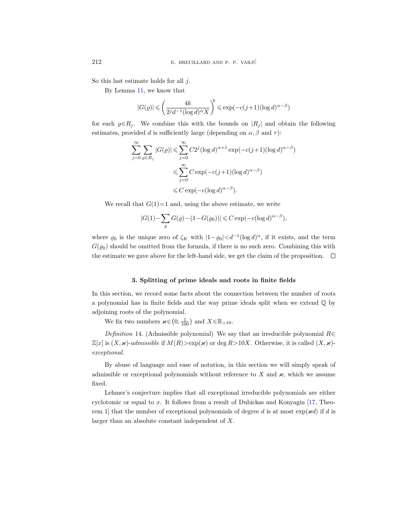So this last estimate holds for all j.

By Lemma [11,](#page-12-1) we know that

$$
|G(\varrho)| \leqslant \left(\frac{4k}{2^j d^{-1} (\log d)^\alpha X}\right)^{\!k} \leqslant \exp\bigl(-c(j+1)(\log d)^{\alpha-\beta}\bigr)
$$

for each  $\varrho \in R_i$ . We combine this with the bounds on  $|R_i|$  and obtain the following estimates, provided d is sufficiently large (depending on  $\alpha$ ,  $\beta$  and  $\tau$ ):

$$
\sum_{j=0}^{\infty} \sum_{\varrho \in R_j} |G(\varrho)| \leq \sum_{j=0}^{\infty} C2^j (\log d)^{\alpha+1} \exp(-c(j+1)(\log d)^{\alpha-\beta})
$$
  

$$
\leq \sum_{j=0}^{\infty} C \exp(-c(j+1)(\log d)^{\alpha-\beta})
$$
  

$$
\leq C \exp(-c(\log d)^{\alpha-\beta}).
$$

We recall that  $G(1)=1$  and, using the above estimate, we write

$$
|G(1) - \sum_{\varrho} G(\varrho) - (1-G(\varrho_0))| \leqslant C \exp\left(-c (\log d)^{\alpha-\beta}\right),
$$

where  $\varrho_0$  is the unique zero of  $\zeta_K$  with  $|1-\varrho_0|< d^{-1}(\log d)^\alpha$ , if it exists, and the term  $G(\varrho_0)$  should be omitted from the formula, if there is no such zero. Combining this with the estimate we gave above for the left-hand side, we get the claim of the proposition.  $\Box$ 

# 3. Splitting of prime ideals and roots in finite fields

<span id="page-17-0"></span>In this section, we record some facts about the connection between the number of roots a polynomial has in finite fields and the way prime ideals split when we extend Q by adjoining roots of the polynomial.

We fix two numbers  $\boldsymbol{\varkappa} \in (0, \frac{1}{100})$  and  $X \in \mathbb{R}_{>10}$ .

<span id="page-17-1"></span>Definition 14. (Admissible polynomial) We say that an irreducible polynomial  $R\in$  $\mathbb{Z}[x]$  is  $(X, \varkappa)$ -admissible if  $M(R) > \exp(\varkappa)$  or deg  $R > 10X$ . Otherwise, it is called  $(X, \varkappa)$ exceptional.

By abuse of language and ease of notation, in this section we will simply speak of admissible or exceptional polynomials without reference to X and  $\varkappa$ , which we assume fixed.

Lehmer's conjecture implies that all exceptional irreducible polynomials are either cyclotomic or equal to x. It follows from a result of Dubickas and Konyagin  $[17,$  Theorem 1] that the number of exceptional polynomials of degree d is at most  $\exp(\varkappa d)$  if d is larger than an absolute constant independent of X.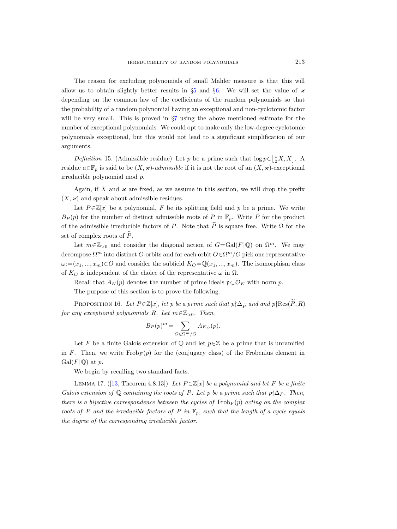The reason for excluding polynomials of small Mahler measure is that this will allow us to obtain slightly better results in  $\S5$  $\S5$  and  $\S6$ . We will set the value of  $\varkappa$ depending on the common law of the coefficients of the random polynomials so that the probability of a random polynomial having an exceptional and non-cyclotomic factor will be very small. This is proved in  $\S7$  $\S7$  using the above mentioned estimate for the number of exceptional polynomials. We could opt to make only the low-degree cyclotomic polynomials exceptional, but this would not lead to a significant simplification of our arguments.

<span id="page-18-2"></span>Definition 15. (Admissible residue) Let p be a prime such that  $\log p \in \left[\frac{1}{2}X, X\right]$ . A residue  $a \in \mathbb{F}_p$  is said to be  $(X, \varkappa)$ -admissible if it is not the root of an  $(X, \varkappa)$ -exceptional irreducible polynomial mod p.

Again, if X and  $\varkappa$  are fixed, as we assume in this section, we will drop the prefix  $(X, \varkappa)$  and speak about admissible residues.

Let  $P \in \mathbb{Z}[x]$  be a polynomial, F be its splitting field and p be a prime. We write  $B_P(p)$  for the number of distinct admissible roots of P in  $\mathbb{F}_p$ . Write  $\widetilde{P}$  for the product of the admissible irreducible factors of P. Note that  $\tilde{P}$  is square free. Write  $\Omega$  for the set of complex roots of  $\widetilde{P}$ .

Let  $m \in \mathbb{Z}_{>0}$  and consider the diagonal action of  $G = \text{Gal}(F | \mathbb{Q})$  on  $\Omega^m$ . We may decompose  $\Omega^m$  into distinct G-orbits and for each orbit  $O \in \Omega^m/G$  pick one representative  $\omega:=(x_1, ..., x_m)\in O$  and consider the subfield  $K_O = \mathbb{Q}(x_1, ..., x_m)$ . The isomorphism class of  $K_O$  is independent of the choice of the representative  $\omega$  in  $\Omega$ .

Recall that  $A_K(p)$  denotes the number of prime ideals  $\mathfrak{p} \subset \mathcal{O}_K$  with norm p.

The purpose of this section is to prove the following.

<span id="page-18-0"></span>PROPOSITION 16. Let  $P \in \mathbb{Z}[x]$ , let p be a prime such that  $p \nmid \Delta_{\widetilde{P}}$  and and  $p \nmid \text{Res}(\widetilde{P}, R)$ for any exceptional polynomials R. Let  $m \in \mathbb{Z}_{>0}$ . Then,

$$
B_P(p)^m = \sum_{O \in \Omega^m/G} A_{K_O}(p).
$$

Let F be a finite Galois extension of  $\mathbb Q$  and let  $p \in \mathbb Z$  be a prime that is unramified in F. Then, we write  $Frob_F(p)$  for the (conjugacy class) of the Frobenius element in  $Gal(F|\mathbb{Q})$  at p.

We begin by recalling two standard facts.

<span id="page-18-1"></span>LEMMA 17. ([\[13,](#page-53-16) Theorem 4.8.13]) Let  $P \in \mathbb{Z}[x]$  be a polynomial and let F be a finite Galois extension of Q containing the roots of P. Let p be a prime such that  $p \nmid \Delta_P$ . Then, there is a bijective correspondence between the cycles of  $Frob_F(p)$  acting on the complex roots of P and the irreducible factors of P in  $\mathbb{F}_p$ , such that the length of a cycle equals the degree of the corresponding irreducible factor.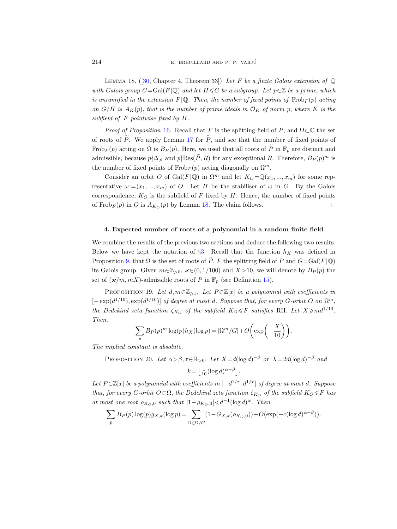<span id="page-19-1"></span>LEMMA 18. ([\[30,](#page-54-8) Chapter 4, Theorem 33]) Let F be a finite Galois extension of  $\mathbb{Q}$ with Galois group  $G = \text{Gal}(F | \mathbb{Q})$  and let  $H \leq G$  be a subgroup. Let  $p \in \mathbb{Z}$  be a prime, which is unramified in the extension  $F(\mathbb{Q})$ . Then, the number of fixed points of  $Frob_F(p)$  acting on  $G/H$  is  $A_K(p)$ , that is the number of prime ideals in  $\mathcal{O}_K$  of norm p, where K is the subfield of F pointwise fixed by H.

*Proof of Proposition* [16](#page-18-0). Recall that F is the splitting field of P, and  $\Omega \subset \mathbb{C}$  the set of roots of  $\widetilde{P}$ . We apply Lemma [17](#page-18-1) for  $\widetilde{P}$ , and see that the number of fixed points of Frob<sub>F</sub> $(p)$  acting on  $\Omega$  is  $B_P(p)$ . Here, we used that all roots of  $\widetilde{P}$  in  $\mathbb{F}_p$  are distinct and admissible, because  $p \nmid \Delta_{\tilde{P}}$  and  $p \nmid \text{Res}(\tilde{P}, R)$  for any exceptional R. Therefore,  $B_P(p)^m$  is the number of fixed points of  $Frob_F(p)$  acting diagonally on  $\Omega^m$ .

Consider an orbit O of Gal(F|Q) in  $\Omega^m$  and let  $K_O = \mathbb{Q}(x_1, ..., x_m)$  for some representative  $\omega$ := $(x_1, ..., x_m)$  of O. Let H be the stabiliser of  $\omega$  in G. By the Galois correspondence,  $K_O$  is the subfield of F fixed by H. Hence, the number of fixed points of Frob<sub>F</sub> $(p)$  in O is  $A_{K_O}(p)$  by Lemma [18.](#page-19-1) The claim follows.  $\Box$ 

## <span id="page-19-0"></span>4. Expected number of roots of a polynomial in a random finite field

We combine the results of the previous two sections and deduce the following two results. Below we have kept the notation of §[3.](#page-17-0) Recall that the function  $h_X$  was defined in Proposition [9,](#page-9-1) that  $\Omega$  is the set of roots of  $\tilde{P}$ , F the splitting field of P and  $G = \text{Gal}(F | \mathbb{Q})$ its Galois group. Given  $m \in \mathbb{Z}_{>0}$ ,  $\varkappa \in (0, 1/100)$  and  $X > 10$ , we will denote by  $B_P(p)$  the set of  $(\varkappa/m, mX)$ -admissible roots of P in  $\mathbb{F}_p$  (see Definition [15\)](#page-18-2).

<span id="page-19-2"></span>PROPOSITION 19. Let  $d, m \in \mathbb{Z}_{\geq 1}$ . Let  $P \in \mathbb{Z}[x]$  be a polynomial with coefficients in  $[-\exp(d^{1/10}), \exp(d^{1/10})]$  of degree at most d. Suppose that, for every G-orbit O on  $\Omega^m$ , the Dedekind zeta function  $\zeta_{K_O}$  of the subfield  $K_O \leq F$  satisfies RH. Let  $X \geq m d^{1/10}$ . Then,

$$
\sum_{p} B_{P}(p)^{m} \log(p) h_{X}(\log p) = |\Omega^{m}/G| + O\left(\exp\left(-\frac{X}{10}\right)\right).
$$

<span id="page-19-3"></span>The implied constant is absolute.

PROPOSITION 20. Let  $\alpha > \beta, \tau \in \mathbb{R}_{>0}$ . Let  $X = d(\log d)^{-\beta}$  or  $X = 2d(\log d)^{-\beta}$  and

$$
k = \left\lfloor \frac{1}{10} (\log d)^{\alpha - \beta} \right\rfloor.
$$

Let  $P \in \mathbb{Z}[x]$  be a polynomial with coefficients in  $[-d^{1/\tau}, d^{1/\tau}]$  of degree at most d. Suppose that, for every G-orbit  $O \subset \Omega$ , the Dedekind zeta function  $\zeta_{K_O}$  of the subfield  $K_O \leq F$  has at most one root  $\varrho_{K_O,0}$  such that  $|1-\varrho_{K_O,0}|< d^{-1}(\log d)^{\alpha}$ . Then,

$$
\sum_{p} B_P(p) \log(p) g_{X,k}(\log p) = \sum_{O \in \Omega/G} (1 - G_{X,k}(\varrho_{K_O,0})) + O(\exp(-c(\log d)^{\alpha - \beta})).
$$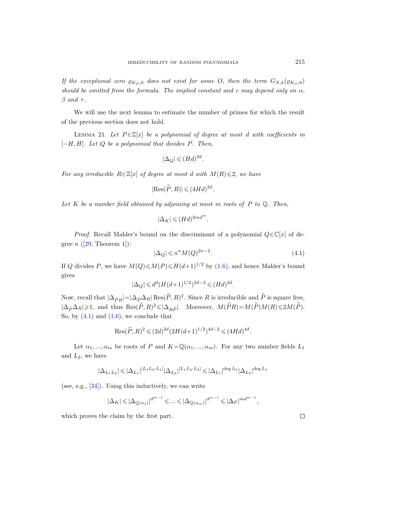If the exceptional zero  $\varrho_{K_O,0}$  does not exist for some O, then the term  $G_{X,k}(\varrho_{K_O,0})$ should be omitted from the formula. The implied constant and c may depend only on  $\alpha$ ,  $\beta$  and  $\tau$ .

We will use the next lemma to estimate the number of primes for which the result of the previous section does not hold.

<span id="page-20-1"></span>LEMMA 21. Let  $P \in \mathbb{Z}[x]$  be a polynomial of degree at most d with coefficients in  $[-H, H]$ . Let  $Q$  be a polynomial that divides P. Then,

$$
|\Delta_Q| \leqslant (Hd)^{2d}.
$$

For any irreducible  $R \in \mathbb{Z}[x]$  of degree at most d with  $M(R) \leq 2$ , we have

$$
|\text{Res}(\widetilde{P}, R)| \leqslant (4Hd)^{2d}.
$$

Let  $K$  be a number field obtained by adjoining at most m roots of  $P$  to  $\mathbb Q$ . Then,

$$
|\Delta_K| \leqslant (Hd)^{2md^m}.
$$

*Proof.* Recall Mahler's bound on the discriminant of a polynomial  $Q \in \mathbb{C}[x]$  of degree  $n$  ([\[29,](#page-54-9) Theorem 1]):

<span id="page-20-0"></span>
$$
|\Delta_Q| \leqslant n^n M(Q)^{2n-2}.\tag{4.1}
$$

If Q divides P, we have  $M(Q) \leq M(P) \leq H(d+1)^{1/2}$  by [\(1.6\)](#page-9-2), and hence Mahler's bound gives

$$
|\Delta_Q| \le d^d (H(d+1)^{1/2})^{2d-2} \le (Hd)^{2d}.
$$

Now, recall that  $|\Delta_{\widetilde{P}R}| = |\Delta_{\widetilde{P}}\Delta_R| \operatorname{Res}(\widetilde{P}, R)^2$ . Since R is irreducible and  $\widetilde{P}$  is square free,  $|\Delta_{\widetilde{P}}\Delta_R|\geqslant 1$ , and thus  $\text{Res}(\widetilde{P},R)^2\leqslant |\Delta_{R\widetilde{P}}|$ . Moreover,  $M(\widetilde{P}R)=M(\widetilde{P})M(R)\leqslant 2M(\widetilde{P})$ . So, by  $(4.1)$  and  $(1.6)$ , we conclude that

Res
$$
(\widetilde{P}, R)^2 \leq (2d)^{2d} (2H(d+1)^{1/2})^{4d-2} \leq (4Hd)^{4d}.
$$

Let  $\alpha_1, ..., \alpha_m$  be roots of P and  $K = \mathbb{Q}(\alpha_1, ..., \alpha_m)$ . For any two number fields  $L_1$ and  $L_2$ , we have

$$
|\Delta_{L_1L_2}| \leqslant |\Delta_{L_1}|^{[L_1L_2:L_1]} |\Delta_{L_2}|^{[L_1L_2:L_2]} \leqslant |\Delta_{L_1}|^{\deg L_2} |\Delta_{L_2}|^{\deg L_1}
$$

(see, e.g.,  $[34]$ ). Using this inductively, we can write

$$
|\Delta_K| \leqslant |\Delta_{\mathbb{Q}(\alpha_1)}|^{d^{m-1}} \leqslant \ldots \leqslant |\Delta_{\mathbb{Q}(\alpha_m)}|^{d^{m-1}} \leqslant |\Delta_F|^{md^{m-1}},
$$

which proves the claim by the first part.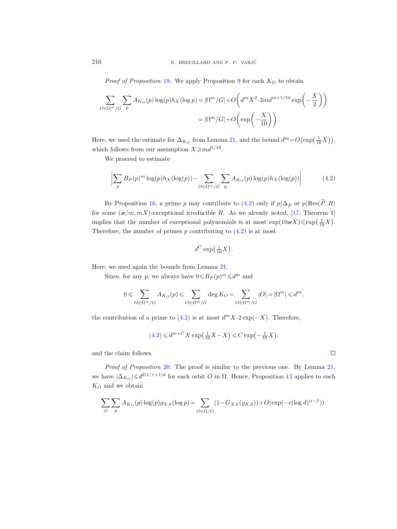*Proof of Proposition [19](#page-19-2).* We apply Proposition [9](#page-9-1) for each  $K_O$  to obtain

$$
\sum_{O \in \Omega^m/G} \sum_p A_{K_O}(p) \log(p) h_X(\log p) = |\Omega^m/G| + O\left(d^m X^2 \cdot 2md^{m+1/10} \exp\left(-\frac{X}{2}\right)\right)
$$

$$
= |\Omega^m/G| + O\left(\exp\left(-\frac{X}{10}\right)\right).
$$

Here, we used the estimate for  $\Delta_{K_O}$  from Lemma [21,](#page-20-1) and the bound  $d^m = O(\exp(\frac{1}{10}X)),$ which follows from our assumption  $X \geq m d^{1/10}$ .

We proceed to estimate

<span id="page-21-0"></span>
$$
\left| \sum_{p} B_{P}(p)^{m} \log(p) h_{X}(\log(p)) - \sum_{O \in \Omega^{m}/G} \sum_{p} A_{K_{O}}(p) \log(p) h_{X}(\log(p)) \right|.
$$
 (4.2)

By Proposition [16,](#page-18-0) a prime p may contribute to [\(4.2\)](#page-21-0) only if  $p|\Delta_{\widetilde{P}}$  or  $p|\text{Res}(\widetilde{P}, R)$ for some  $(\varkappa/m, mX)$ -exceptional irreducible R. As we already noted, [\[17,](#page-53-15) Theorem 1] implies that the number of exceptional polynomials is at most  $\exp(10 \varkappa X) \leq \exp(\frac{1}{10}X)$ . Therefore, the number of primes  $p$  contributing to  $(4.2)$  is at most

$$
d^C \exp\left(\frac{1}{10}X\right).
$$

Here, we used again the bounds from Lemma [21.](#page-20-1)

Since, for any p, we always have  $0 \le B_P (p)^m \le d^m$  and

$$
0 \leqslant \sum_{O \in \Omega^m /G} A_{K_O}(p) \leqslant \sum_{O \in \Omega^m /G} \deg K_O = \sum_{O \in \Omega^m /G} |O| = |\Omega^m| \leqslant d^m,
$$

the contribution of a prime to [\(4.2\)](#page-21-0) is at most  $d^m X \cdot 2 \exp(-X)$ . Therefore,

$$
(4.2) \leq d^{m+C} X \exp\left(\frac{1}{10}X - X\right) \leq C \exp\left(-\frac{1}{10}X\right),\,
$$

and the claim follows.

Proof of Proposition [20](#page-19-3). The proof is similar to the previous one. By Lemma [21,](#page-20-1) we have  $|\Delta_{K_O}| \le d^{2(1/\tau+1)d}$  for each orbit *O* in Ω. Hence, Proposition [13](#page-15-2) applies to each  $K_O$  and we obtain

$$
\sum_O \sum_p A_{K_O}(p) \log(p) g_{X,k}(\log p) = \sum_{O \in \Omega/G} (1 - G_{X,k}(\varrho_{K,0})) + O(\exp(-c(\log d)^{\alpha - \beta})).
$$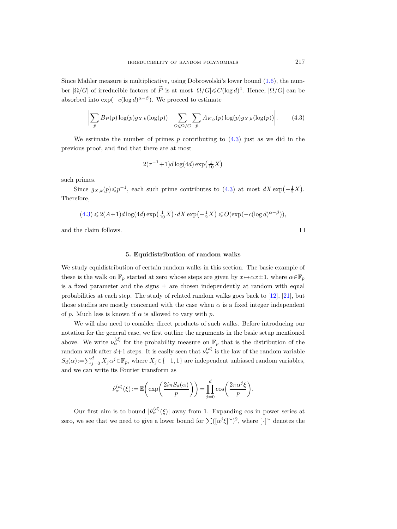Since Mahler measure is multiplicative, using Dobrowolski's lower bound [\(1.6\)](#page-9-2), the number  $|\Omega/G|$  of irreducible factors of  $\widetilde{P}$  is at most  $|\Omega/G| \leq C(\log d)^4$ . Hence,  $|\Omega/G|$  can be absorbed into  $\exp(-c(\log d)^{\alpha-\beta})$ . We proceed to estimate

<span id="page-22-1"></span>
$$
\left| \sum_{p} B_{P}(p) \log(p) g_{X,k}(\log(p)) - \sum_{O \in \Omega/G} \sum_{p} A_{K_O}(p) \log(p) g_{X,k}(\log(p)) \right|.
$$
 (4.3)

We estimate the number of primes p contributing to  $(4.3)$  just as we did in the previous proof, and find that there are at most

$$
2(\tau^{-1}+1)d\log(4d)\exp\left(\frac{1}{10}X\right)
$$

such primes.

Since  $g_{X,k}(p) \leq p^{-1}$ , each such prime contributes to  $(4.3)$  at most  $dX \exp(-\frac{1}{2}X)$ . Therefore,

$$
(4.3) \leq 2(A+1)d\log(4d)\exp\left(\frac{1}{10}X\right) \cdot dX \exp\left(-\frac{1}{2}X\right) \leq O(\exp(-c(\log d)^{\alpha-\beta})),
$$

and the claim follows.

## 5. Equidistribution of random walks

<span id="page-22-0"></span>We study equidistribution of certain random walks in this section. The basic example of these is the walk on  $\mathbb{F}_p$  started at zero whose steps are given by  $x \mapsto \alpha x \pm 1$ , where  $\alpha \in \mathbb{F}_p$ is a fixed parameter and the signs  $\pm$  are chosen independently at random with equal probabilities at each step. The study of related random walks goes back to [\[12\]](#page-53-7), [\[21\]](#page-53-8), but those studies are mostly concerned with the case when  $\alpha$  is a fixed integer independent of p. Much less is known if  $\alpha$  is allowed to vary with p.

We will also need to consider direct products of such walks. Before introducing our notation for the general case, we first outline the arguments in the basic setup mentioned above. We write  $\nu_\alpha^{(d)}$  for the probability measure on  $\mathbb{F}_p$  that is the distribution of the random walk after  $d+1$  steps. It is easily seen that  $\nu_\alpha^{(d)}$  is the law of the random variable  $S_d(\alpha) := \sum_{j=0}^d X_j \alpha^j \in \mathbb{F}_p$ , where  $X_j \in \{-1, 1\}$  are independent unbiased random variables, and we can write its Fourier transform as

$$
\hat{\nu}_{\alpha}^{(d)}(\xi) := \mathbb{E}\left(\exp\left(\frac{2i\pi S_d(\alpha)}{p}\right)\right) = \prod_{j=0}^d \cos\left(\frac{2\pi \alpha^j \xi}{p}\right).
$$

Our first aim is to bound  $|\hat{\nu}_{\alpha}^{(d)}(\xi)|$  away from 1. Expanding cos in power series at zero, we see that we need to give a lower bound for  $\sum ([\alpha^j \xi]^\sim)^2$ , where  $[\cdot]^\sim$  denotes the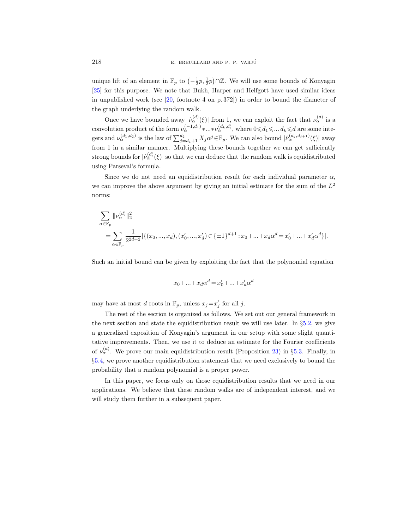unique lift of an element in  $\mathbb{F}_p$  to  $\left(-\frac{1}{2}p, \frac{1}{2}p\right) \cap \mathbb{Z}$ . We will use some bounds of Konyagin [\[25\]](#page-54-6) for this purpose. We note that Bukh, Harper and Helfgott have used similar ideas in unpublished work (see [\[20,](#page-53-9) footnote 4 on p. 372]) in order to bound the diameter of the graph underlying the random walk.

Once we have bounded away  $|\hat{\nu}_{\alpha}^{(d)}(\xi)|$  from 1, we can exploit the fact that  $\nu_{\alpha}^{(d)}$  is a convolution product of the form  $\nu_\alpha^{(-1,d_1)}$ \*...\* $\nu_\alpha^{(d_k,d)}$ , where  $0 \le d_1 \le \dots d_k \le d$  are some integers and  $\nu_{\alpha}^{(d_1, d_2)}$  is the law of  $\sum_{j=d_1+1}^{d_2} X_j \alpha^j \in \mathbb{F}_p$ . We can also bound  $|\hat{\nu}_{\alpha}^{(d_j, d_{j+1})}(\xi)|$  away from 1 in a similar manner. Multiplying these bounds together we can get sufficiently strong bounds for  $|\hat{\nu}_{\alpha}^{(d)}(\xi)|$  so that we can deduce that the random walk is equidistributed using Parseval's formula.

Since we do not need an equidistribution result for each individual parameter  $\alpha$ , we can improve the above argument by giving an initial estimate for the sum of the  $L^2$ norms:

$$
\begin{split} & \sum_{\alpha \in \mathbb{F}_p} \|\nu_\alpha^{(d)}\|_2^2 \\ & = \sum_{\alpha \in \mathbb{F}_p} \frac{1}{2^{2d+2}} |\{(x_0,...,x_d),(x_0',...,x_d') \in \{\pm 1\}^{d+1}: x_0+...+x_d \alpha^d = x_0'+...+x_d' \alpha^d\}|. \end{split}
$$

Such an initial bound can be given by exploiting the fact that the polynomial equation

$$
x_0 + \ldots + x_d \alpha^d = x'_0 + \ldots + x'_d \alpha^d
$$

may have at most d roots in  $\mathbb{F}_p$ , unless  $x_j = x'_j$  for all j.

The rest of the section is organized as follows. We set out our general framework in the next section and state the equidistribution result we will use later. In §[5.2,](#page-25-0) we give a generalized exposition of Konyagin's argument in our setup with some slight quantitative improvements. Then, we use it to deduce an estimate for the Fourier coefficients of  $\nu_\alpha^{(d)}$ . We prove our main equidistribution result (Proposition [23\)](#page-25-1) in §[5.3.](#page-33-0) Finally, in §[5.4,](#page-35-0) we prove another equidistribution statement that we need exclusively to bound the probability that a random polynomial is a proper power.

<span id="page-23-0"></span>In this paper, we focus only on those equidistribution results that we need in our applications. We believe that these random walks are of independent interest, and we will study them further in a subsequent paper.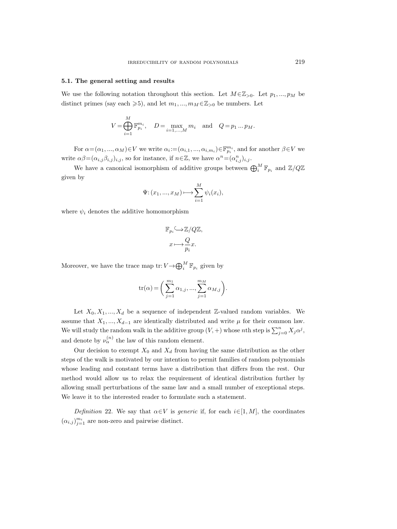#### 5.1. The general setting and results

We use the following notation throughout this section. Let  $M \in \mathbb{Z}_{>0}$ . Let  $p_1, ..., p_M$  be distinct primes (say each  $\geq 5$ ), and let  $m_1, ..., m_M \in \mathbb{Z}_{>0}$  be numbers. Let

$$
V = \bigoplus_{i=1}^{M} \mathbb{F}_{p_i}^{m_i}, \quad D = \max_{i=1,...,M} m_i \quad \text{and} \quad Q = p_1 ... p_M.
$$

For  $\alpha = (\alpha_1, ..., \alpha_M) \in V$  we write  $\alpha_i := (\alpha_{i,1}, ..., \alpha_{i,m_i}) \in \mathbb{F}_{p_i}^{m_i}$ , and for another  $\beta \in V$  we write  $\alpha\beta = (\alpha_{i,j}\beta_{i,j})_{i,j}$ , so for instance, if  $n \in \mathbb{Z}$ , we have  $\alpha^n = (\alpha^n_{i,j})_{i,j}$ .

We have a canonical isomorphism of additive groups between  $\bigoplus_{i}^{M} \mathbb{F}_{p_i}$  and  $\mathbb{Z}/Q\mathbb{Z}$ given by

$$
\Psi: (x_1, ..., x_M) \longmapsto \sum_{i=1}^M \psi_i(x_i),
$$

where  $\psi_i$  denotes the additive homomorphism

$$
\mathbb{F}_{p_i} \frac{1}{\sqrt{\frac{Q}{p_i}}} \mathbb{Z}/Q\mathbb{Z},
$$
  

$$
x \longmapsto \frac{Q}{p_i} x.
$$

Moreover, we have the trace map  $\mathrm{tr}\colon V {\,\rightarrow\,} \bigoplus_i^M \mathbb{F}_{p_i}$  given by

$$
\mathrm{tr}(\alpha) = \bigg( \sum_{j=1}^{m_1} \alpha_{1,j}, ..., \sum_{j=1}^{m_M} \alpha_{M,j} \bigg).
$$

Let  $X_0, X_1, ..., X_d$  be a sequence of independent Z-valued random variables. We assume that  $X_1, ..., X_{d-1}$  are identically distributed and write  $\mu$  for their common law. We will study the random walk in the additive group  $(V, +)$  whose nth step is  $\sum_{j=0}^{n} X_j \alpha^j$ , and denote by  $\nu_{\alpha}^{(n)}$  the law of this random element.

Our decision to exempt  $X_0$  and  $X_d$  from having the same distribution as the other steps of the walk is motivated by our intention to permit families of random polynomials whose leading and constant terms have a distribution that differs from the rest. Our method would allow us to relax the requirement of identical distribution further by allowing small perturbations of the same law and a small number of exceptional steps. We leave it to the interested reader to formulate such a statement.

Definition 22. We say that  $\alpha \in V$  is *generic* if, for each  $i \in [1, M]$ , the coordinates  $(\alpha_{i,j})_{j=1}^{m_i}$  are non-zero and pairwise distinct.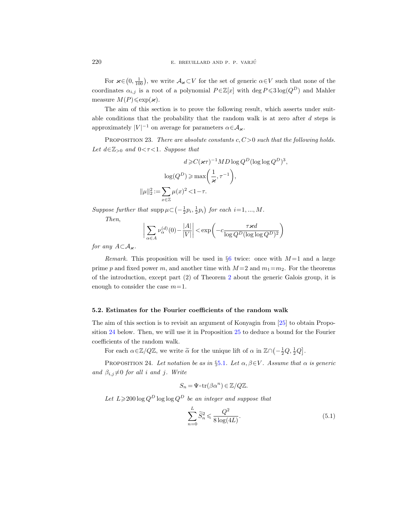For  $\varkappa \in (0, \frac{1}{100})$ , we write  $\mathcal{A}_{\varkappa} \subset V$  for the set of generic  $\alpha \in V$  such that none of the coordinates  $\alpha_{i,j}$  is a root of a polynomial  $P \in \mathbb{Z}[x]$  with  $\deg P \leqslant 3 \log(Q^D)$  and Mahler measure  $M(P) \leqslant \exp(\varkappa)$ .

The aim of this section is to prove the following result, which asserts under suitable conditions that the probability that the random walk is at zero after  $d$  steps is approximately  $|V|^{-1}$  on average for parameters  $\alpha \in A_{\varkappa}$ .

<span id="page-25-1"></span>PROPOSITION 23. There are absolute constants  $c, C > 0$  such that the following holds. Let  $d \in \mathbb{Z}_{>0}$  and  $0 < \tau < 1$ . Suppose that

$$
d \geq C(\varkappa \tau)^{-1} M D \log Q^{D} (\log \log Q^{D})^{3},
$$

$$
\log(Q^{D}) \geq \max\left(\frac{1}{\varkappa}, \tau^{-1}\right),
$$

$$
\|\mu\|_{2}^{2} := \sum_{x \in \mathbb{Z}} \mu(x)^{2} < 1 - \tau.
$$

Suppose further that  $\text{supp}\,\mu\subset\left(-\frac{1}{2}p_i,\frac{1}{2}p_i\right)$  for each  $i=1,...,M$ .

Then,

$$
\left| \sum_{\alpha \in A} \nu_{\alpha}^{(d)}(0) - \frac{|A|}{|V|} \right| < \exp\left( -c \frac{\tau \varkappa d}{\log Q^D (\log \log Q^D)^2} \right)
$$

for any  $A\subset \mathcal{A}_{\varkappa}$ .

Remark. This proposition will be used in §[6](#page-36-0) twice: once with  $M=1$  and a large prime p and fixed power m, and another time with  $M=2$  and  $m_1=m_2$ . For the theorems of the introduction, except part (2) of Theorem [2](#page-2-1) about the generic Galois group, it is enough to consider the case  $m=1$ .

# <span id="page-25-0"></span>5.2. Estimates for the Fourier coefficients of the random walk

The aim of this section is to revisit an argument of Konyagin from [\[25\]](#page-54-6) to obtain Proposition [24](#page-25-2) below. Then, we will use it in Proposition [25](#page-26-0) to deduce a bound for the Fourier coefficients of the random walk.

For each  $\alpha \in \mathbb{Z}/Q\mathbb{Z}$ , we write  $\tilde{\alpha}$  for the unique lift of  $\alpha$  in  $\mathbb{Z}\cap(-\frac{1}{2}Q,\frac{1}{2}Q]$ .

<span id="page-25-2"></span>PROPOSITION 24. Let notation be as in §[5.1](#page-23-0). Let  $\alpha, \beta \in V$ . Assume that  $\alpha$  is generic and  $\beta_{i,j} \neq 0$  for all i and j. Write

$$
S_n = \Psi \circ \operatorname{tr}(\beta \alpha^n) \in \mathbb{Z}/Q\mathbb{Z}.
$$

Let  $L \geq 200 \log Q^D \log \log Q^D$  be an integer and suppose that

<span id="page-25-3"></span>
$$
\sum_{n=0}^{L} \widetilde{S}_n^2 \leqslant \frac{Q^2}{8 \log(4L)}.\tag{5.1}
$$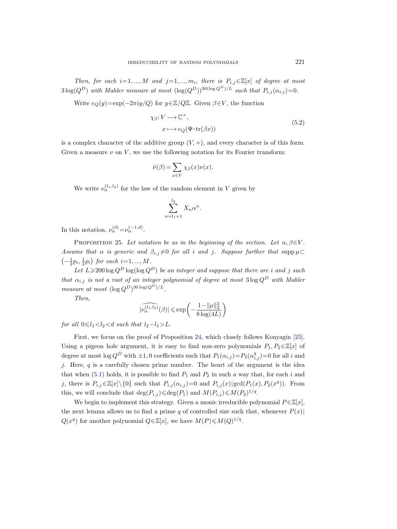Then, for each  $i=1,...,M$  and  $j=1,...,m_i$ , there is  $P_{i,j}\in\mathbb{Z}[x]$  of degree at most  $3\log(Q^D)$  with Mahler measure at most  $(\log(Q^D))^{30(\log Q^D)/L}$  such that  $P_{i,j}(\alpha_{i,j})=0$ .

<span id="page-26-1"></span>Write  $e_Q(y)=\exp(-2\pi i y/Q)$  for  $y\in\mathbb{Z}/Q\mathbb{Z}$ . Given  $\beta\in V$ , the function

$$
\chi_{\beta}: V \longrightarrow \mathbb{C}^{\times},
$$
  
\n
$$
x \longmapsto e_Q(\Psi \circ \operatorname{tr}(\beta x))
$$
\n(5.2)

is a complex character of the additive group  $(V, +)$ , and every character is of this form. Given a measure  $\nu$  on V, we use the following notation for its Fourier transform:

$$
\hat{\nu}(\beta) = \sum_{x \in V} \chi_{\beta}(x) \nu(x).
$$

We write  $\nu_\alpha^{(l_1,l_2)}$  for the law of the random element in V given by

$$
\sum_{n=l_1+1}^{l_2} X_n \alpha^n.
$$

In this notation,  $\nu_{\alpha}^{(d)} = \nu_{\alpha}^{(-1,d)}$ .

<span id="page-26-0"></span>PROPOSITION 25. Let notation be as in the beginning of the section. Let  $\alpha, \beta \in V$ . Assume that  $\alpha$  is generic and  $\beta_{i,j} \neq 0$  for all i and j. Suppose further that supp  $\mu \subset$  $\left(-\frac{1}{2}p_i, \frac{1}{2}p_i\right)$  for each  $i=1, ..., M$ .

Let  $L \geq 200 \log Q^D \log(\log Q^D)$  be an integer and suppose that there are i and j such that  $\alpha_{i,j}$  is not a root of an integer polynomial of degree at most  $3 \log Q^D$  with Mahler measure at most  $(\log Q^D)^{30 \log(Q^D)/L}$ .

Then,

$$
|\widehat{\nu_{\alpha}^{(l_1,l_2)}}(\beta)| \leqslant \exp\biggl(-\frac{1-\|\mu\|_2^2}{8\log(4L)}\biggr)
$$

for all  $0 \le l_1 < l_2 < d$  such that  $l_2 - l_1 > L$ .

First, we focus on the proof of Proposition [24,](#page-25-2) which closely follows Konyagin [\[25\]](#page-54-6). Using a pigeon hole argument, it is easy to find non-zero polynomials  $P_1, P_2 \in \mathbb{Z}[x]$  of degree at most  $\log Q^D$  with  $\pm 1, 0$  coefficients such that  $P_1(\alpha_{i,j}) = P_2(\alpha_{i,j}^q) = 0$  for all i and j. Here,  $q$  is a carefully chosen prime number. The heart of the argument is the idea that when  $(5.1)$  holds, it is possible to find  $P_1$  and  $P_2$  in such a way that, for each i and j, there is  $P_{i,j}\in\mathbb{Z}[x]\setminus\{0\}$  such that  $P_{i,j}(\alpha_{i,j})=0$  and  $P_{i,j}(x)|\gcd(P_1(x),P_2(x^q))$ . From this, we will conclude that  $\deg(P_{i,j}) \leq \deg(P_1)$  and  $M(P_{i,j}) \leq M(P_2)^{1/q}$ .

We begin to implement this strategy. Given a monic irreducible polynomial  $P \in \mathbb{Z}[x]$ , the next lemma allows us to find a prime q of controlled size such that, whenever  $P(x)$  $Q(x^q)$  for another polynomial  $Q \in \mathbb{Z}[x]$ , we have  $M(P) \leq M(Q)^{1/q}$ .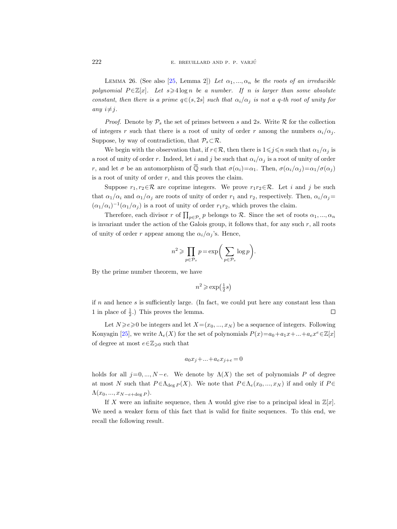<span id="page-27-0"></span>LEMMA 26. (See also [\[25,](#page-54-6) Lemma 2]) Let  $\alpha_1, ..., \alpha_n$  be the roots of an irreducible polynomial  $P \in \mathbb{Z}[x]$ . Let  $s \geq 4 \log n$  be a number. If n is larger than some absolute constant, then there is a prime  $q \in (s, 2s]$  such that  $\alpha_i/\alpha_j$  is not a q-th root of unity for any  $i \neq j$ .

*Proof.* Denote by  $\mathcal{P}_s$  the set of primes between s and 2s. Write R for the collection of integers r such that there is a root of unity of order r among the numbers  $\alpha_i/\alpha_j$ . Suppose, by way of contradiction, that  $\mathcal{P}_s \subset \mathcal{R}$ .

We begin with the observation that, if  $r \in \mathcal{R}$ , then there is  $1 \leq j \leq n$  such that  $\alpha_1/\alpha_j$  is a root of unity of order r. Indeed, let i and j be such that  $\alpha_i/\alpha_j$  is a root of unity of order r, and let  $\sigma$  be an automorphism of  $\overline{Q}$  such that  $\sigma(\alpha_i) = \alpha_1$ . Then,  $\sigma(\alpha_i/\alpha_j) = \alpha_1/\sigma(\alpha_j)$ is a root of unity of order  $r$ , and this proves the claim.

Suppose  $r_1, r_2 \in \mathcal{R}$  are coprime integers. We prove  $r_1r_2 \in \mathcal{R}$ . Let i and j be such that  $\alpha_1/\alpha_i$  and  $\alpha_1/\alpha_j$  are roots of unity of order  $r_1$  and  $r_2$ , respectively. Then,  $\alpha_i/\alpha_j =$  $(\alpha_1/\alpha_i)^{-1}(\alpha_1/\alpha_j)$  is a root of unity of order  $r_1r_2$ , which proves the claim.

Therefore, each divisor r of  $\prod_{p \in \mathcal{P}_s} p$  belongs to R. Since the set of roots  $\alpha_1, ..., \alpha_n$ is invariant under the action of the Galois group, it follows that, for any such  $r$ , all roots of unity of order r appear among the  $\alpha_i/\alpha_j$ 's. Hence,

$$
n^2 \geqslant \prod_{p \in \mathcal{P}_s} p = \exp \biggl( \sum_{p \in \mathcal{P}_s} \log p \biggr).
$$

By the prime number theorem, we have

$$
n^2 \geqslant \exp\left(\frac{1}{2}s\right)
$$

if  $n$  and hence  $s$  is sufficiently large. (In fact, we could put here any constant less than 1 in place of  $\frac{1}{2}$ .) This proves the lemma.  $\Box$ 

Let  $N \ge e \ge 0$  be integers and let  $X=(x_0, ..., x_N)$  be a sequence of integers. Following Konyagin [\[25\]](#page-54-6), we write  $\Lambda_e(X)$  for the set of polynomials  $P(x)=a_0+a_1x+\ldots+a_ex^e \in \mathbb{Z}[x]$ of degree at most  $e \in \mathbb{Z}_{\geqslant 0}$  such that

$$
a_0x_j + \ldots + a_ex_{j+e} = 0
$$

holds for all  $j=0, ..., N-e$ . We denote by  $\Lambda(X)$  the set of polynomials P of degree at most N such that  $P \in \Lambda_{\deg P}(X)$ . We note that  $P \in \Lambda_e(x_0, ..., x_N)$  if and only if  $P \in$  $\Lambda(x_0, ..., x_{N-e+\deg P}).$ 

If X were an infinite sequence, then  $\Lambda$  would give rise to a principal ideal in  $\mathbb{Z}[x]$ . We need a weaker form of this fact that is valid for finite sequences. To this end, we recall the following result.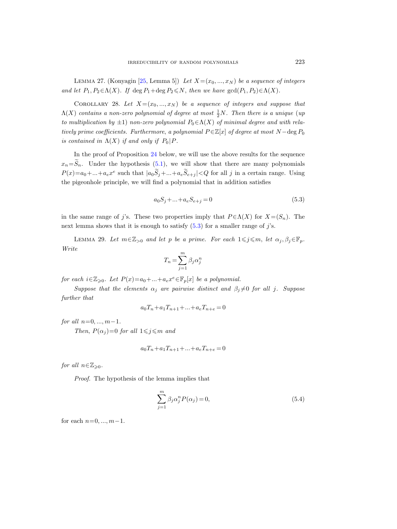LEMMA 27. (Konyagin [\[25,](#page-54-6) Lemma 5]) Let  $X=(x_0, ..., x_N)$  be a sequence of integers and let  $P_1, P_2 \in \Lambda(X)$ . If deg  $P_1 + \deg P_2 \le N$ , then we have  $\gcd(P_1, P_2) \in \Lambda(X)$ .

<span id="page-28-3"></span>COROLLARY 28. Let  $X=(x_0, ..., x_N)$  be a sequence of integers and suppose that  $\Lambda(X)$  contains a non-zero polynomial of degree at most  $\frac{1}{2}N$ . Then there is a unique (up to multiplication by  $\pm 1$ ) non-zero polynomial  $P_0 \in \Lambda(X)$  of minimal degree and with relatively prime coefficients. Furthermore, a polynomial  $P \in \mathbb{Z}[x]$  of degree at most  $N - \text{deg } P_0$ is contained in  $\Lambda(X)$  if and only if  $P_0 | P$ .

In the proof of Proposition [24](#page-25-2) below, we will use the above results for the sequence  $x_n=\widetilde{S}_n$ . Under the hypothesis [\(5.1\)](#page-25-3), we will show that there are many polynomials  $P(x)=a_0+...+a_ex^e$  such that  $|a_0\tilde{S}_j+...+a_e\tilde{S}_{e+j}| for all j in a certain range. Using$ the pigeonhole principle, we will find a polynomial that in addition satisfies

<span id="page-28-0"></span>
$$
a_0 S_j + \dots + a_e S_{e+j} = 0 \tag{5.3}
$$

in the same range of j's. These two properties imply that  $P \in \Lambda(X)$  for  $X = (S_n)$ . The next lemma shows that it is enough to satisfy  $(5.3)$  for a smaller range of j's.

<span id="page-28-2"></span>LEMMA 29. Let  $m \in \mathbb{Z}_{>0}$  and let p be a prime. For each  $1 \leq j \leq m$ , let  $\alpha_j, \beta_j \in \mathbb{F}_p$ . Write

$$
T_n = \sum_{j=1}^m \beta_j \alpha_j^n
$$

for each  $i \in \mathbb{Z}_{\geqslant 0}$ . Let  $P(x)=a_0+\ldots+a_e x^e \in \mathbb{F}_p[x]$  be a polynomial.

Suppose that the elements  $\alpha_j$  are pairwise distinct and  $\beta_j \neq 0$  for all j. Suppose further that

$$
a_0T_n + a_1T_{n+1} + \dots + a_eT_{n+e} = 0
$$

for all  $n=0, ..., m-1$ .

Then,  $P(\alpha_i)=0$  for all  $1\leq j\leq m$  and

$$
a_0T_n + a_1T_{n+1} + \dots + a_eT_{n+e} = 0
$$

for all  $n \in \mathbb{Z}_{\geqslant 0}$ .

Proof. The hypothesis of the lemma implies that

<span id="page-28-1"></span>
$$
\sum_{j=1}^{m} \beta_j \alpha_j^n P(\alpha_j) = 0,
$$
\n(5.4)

for each  $n=0, ..., m-1$ .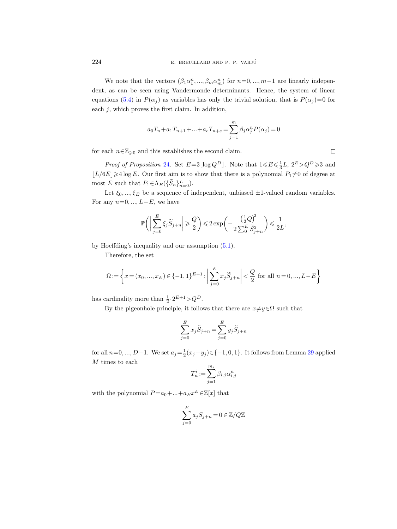We note that the vectors  $(\beta_1 \alpha_1^n, ..., \beta_m \alpha_m^n)$  for  $n=0, ..., m-1$  are linearly independent, as can be seen using Vandermonde determinants. Hence, the system of linear equations [\(5.4\)](#page-28-1) in  $P(\alpha_j)$  as variables has only the trivial solution, that is  $P(\alpha_j)=0$  for each  $j$ , which proves the first claim. In addition,

$$
a_0T_n + a_1T_{n+1} + ... + a_eT_{n+e} = \sum_{j=1}^m \beta_j \alpha_j^n P(\alpha_j) = 0
$$

for each  $n \in \mathbb{Z}_{\geqslant 0}$  and this establishes the second claim.

*Proof of Proposition* [24](#page-25-2). Set  $E=3\lfloor \log Q^D \rfloor$ . Note that  $1 \leqslant E \leqslant \frac{1}{3}L$ ,  $2^E > Q^D \geqslant 3$  and  $\lfloor L/6E \rfloor \geq 4 \log E$ . Our first aim is to show that there is a polynomial  $P_1 \neq 0$  of degree at most E such that  $P_1 \in \Lambda_E(\{\widetilde{S}_n\}_{n=0}^L)$ .

Let  $\xi_0, ..., \xi_E$  be a sequence of independent, unbiased  $\pm 1$ -valued random variables. For any  $n=0, ..., L-E$ , we have

$$
\mathbb{P}\bigg(\bigg|\sum_{j=0}^E\xi_j\widetilde{S}_{j+n}\bigg|\geqslant \frac{Q}{2}\bigg)\leqslant 2\exp\bigg(-\frac{\left(\frac{1}{2}Q\right)^{\!2}}{2\sum_0^E\widetilde{S}_{j+n}^2}\bigg)\leqslant \frac{1}{2L},
$$

by Hoeffding's inequality and our assumption [\(5.1\)](#page-25-3).

Therefore, the set

$$
\Omega := \left\{ x = (x_0, ..., x_E) \in \{-1, 1\}^{E+1} : \left| \sum_{j=0}^{E} x_j \widetilde{S}_{j+n} \right| < \frac{Q}{2} \text{ for all } n = 0, ..., L - E \right\}
$$

has cardinality more than  $\frac{1}{2} \cdot 2^{E+1} > Q^D$ .

By the pigeonhole principle, it follows that there are  $x\neq y\in\Omega$  such that

$$
\sum_{j=0}^{E} x_j \widetilde{S}_{j+n} = \sum_{j=0}^{E} y_j \widetilde{S}_{j+n}
$$

for all  $n=0, ..., D-1$ . We set  $a_j = \frac{1}{2}(x_j-y_j) \in \{-1, 0, 1\}$ . It follows from Lemma [29](#page-28-2) applied M times to each

$$
T_n^i := \sum_{j=1}^{m_i} \beta_{i,j} \alpha_{i,j}^n
$$

with the polynomial  $P=a_0+...+a_{E}x^{E} \in \mathbb{Z}[x]$  that

$$
\sum_{j=0}^{E} a_j S_{j+n} = 0 \in \mathbb{Z}/Q\mathbb{Z}
$$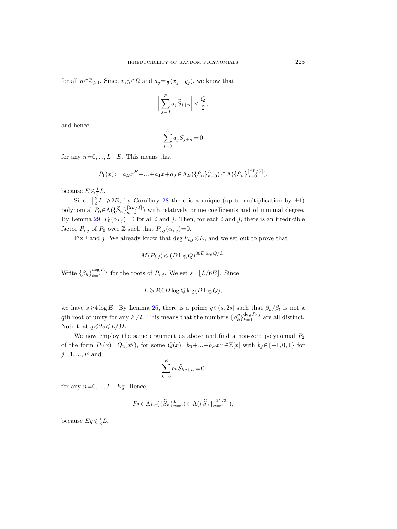for all  $n \in \mathbb{Z}_{\geqslant 0}$ . Since  $x, y \in \Omega$  and  $a_j = \frac{1}{2}(x_j - y_j)$ , we know that

$$
\bigg|\sum_{j=0}^E a_j\widetilde S_{j+n}\bigg|<\frac{Q}{2},
$$

and hence

$$
\sum_{j=0}^E a_j \widetilde S_{j+n} = 0
$$

for any  $n=0, ..., L-E$ . This means that

$$
P_1(x) := a_E x^E + \dots + a_1 x + a_0 \in \Lambda_E(\{\widetilde{S}_n\}_{n=0}^L) \subset \Lambda(\{\widetilde{S}_n\}_{n=0}^{\lceil 2L/3 \rceil}),
$$

because  $E \leqslant \frac{1}{3}L$ .

Since  $\left[\frac{2}{3}L\right] \geq 2E$ , by Corollary [28](#page-28-3) there is a unique (up to multiplication by  $\pm 1$ ) polynomial  $P_0 \in \Lambda(\{\widetilde{S}_n\}_{n=0}^{\lfloor 2L/3 \rfloor})$  with relatively prime coefficients and of minimal degree. By Lemma [29,](#page-28-2)  $P_0(\alpha_{i,j})=0$  for all i and j. Then, for each i and j, there is an irreducible factor  $P_{i,j}$  of  $P_0$  over  $\mathbb Z$  such that  $P_{i,j}(\alpha_{i,j})=0$ .

Fix i and j. We already know that deg  $P_{i,j} \leq E$ , and we set out to prove that

$$
M(P_{i,j}) \leqslant (D \log Q)^{30D \log Q/L}.
$$

Write  $\{\beta_k\}_{k=1}^{\deg P_{i_j}}$  for the roots of  $P_{i,j}$ . We set  $s = \lfloor L/6E \rfloor$ . Since

$$
L \geqslant 200D \log Q \log(D \log Q),
$$

we have  $s \geq 4 \log E$ . By Lemma [26,](#page-27-0) there is a prime  $q \in (s, 2s]$  such that  $\beta_k/\beta_l$  is not a qth root of unity for any  $k\neq l$ . This means that the numbers  $\{\beta_k^q\}_{k=1}^{\deg P_{i,j}}$  are all distinct. Note that  $q \leqslant 2s \leqslant L/3E$ .

We now employ the same argument as above and find a non-zero polynomial  $P_2$ of the form  $P_2(x)=Q_2(x^q)$ , for some  $Q(x)=b_0+\ldots+b_Ex^E\in\mathbb{Z}[x]$  with  $b_j\in\{-1,0,1\}$  for  $j=1, ..., E$  and

$$
\sum_{k=0}^{E} b_k \widetilde{S}_{kq+n} = 0
$$

for any  $n=0, ..., L-Eq$ . Hence,

$$
P_2 \in \Lambda_{Eq}(\{\widetilde{S}_n\}_{n=0}^L) \subset \Lambda(\{\widetilde{S}_n\}_{n=0}^{\lceil 2L/3 \rceil}),
$$

because  $Eq \leq \frac{1}{3}L$ .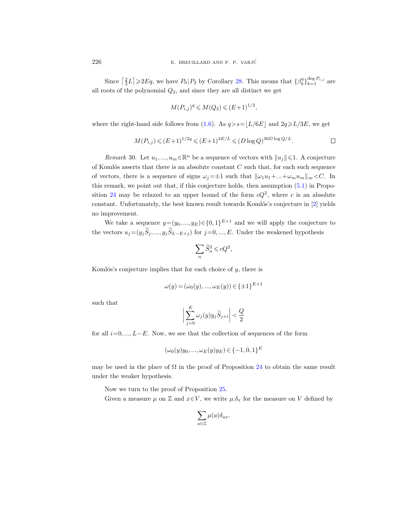Since  $\left[\frac{2}{3}L\right] \geqslant 2Eq$ , we have  $P_0|P_2$  by Corollary [28.](#page-28-3) This means that  $\{\beta_k^q\}_{k=1}^{\deg P_{i,j}}$  are all roots of the polynomial  $Q_2$ , and since they are all distinct we get

$$
M(P_{i,j})^q \leq M(Q_2) \leq (E+1)^{1/2},
$$

where the right-hand side follows from [\(1.6\)](#page-9-2). As  $q > s = L/6E$  and  $2q \ge L/3E$ , we get

$$
M(P_{i,j}) \le (E+1)^{1/2q} \le (E+1)^{3E/L} \le (D \log Q)^{30D \log Q/L}.
$$

*Remark* 30. Let  $u_1, ..., u_m \in \mathbb{R}^n$  be a sequence of vectors with  $||u_j|| \leq 1$ . A conjecture of Komlós asserts that there is an absolute constant  $C$  such that, for each such sequence of vectors, there is a sequence of signs  $\omega_i=\pm 1$  such that  $\|\omega_1u_1+\dots+\omega_mu_m\|_{\infty} < C$ . In this remark, we point out that, if this conjecture holds, then assumption [\(5.1\)](#page-25-3) in Propo-sition [24](#page-25-2) may be relaxed to an upper bound of the form  $cQ^2$ , where c is an absolute constant. Unfortunately, the best known result towards Komlós's conjecture in  $[2]$  yields no improvement.

We take a sequence  $y=(y_0, ..., y_E) \in \{0,1\}^{E+1}$  and we will apply the conjecture to the vectors  $u_j=(y_j\widetilde{S}_j, ..., y_j\widetilde{S}_{L-E+j})$  for  $j=0, ..., E$ . Under the weakened hypothesis

$$
\sum_n \widetilde{S}_n^2 \leqslant cQ^2,
$$

Komlós's conjecture implies that for each choice of  $y$ , there is

$$
\omega(y) = (\omega_0(y), ..., \omega_E(y)) \in \{\pm 1\}^{E+1}
$$

such that

$$
\bigg|\sum_{j=0}^E\omega_j(y)y_j\widetilde{S}_{j+i}\bigg|<\frac{Q}{2}
$$

for all  $i=0, ..., L-E$ . Now, we see that the collection of sequences of the form

$$
(\omega_0(y)y_0, ..., \omega_E(y)y_E) \in \{-1, 0, 1\}^E
$$

may be used in the place of  $\Omega$  in the proof of Proposition [24](#page-25-2) to obtain the same result under the weaker hypothesis.

Now we turn to the proof of Proposition [25.](#page-26-0)

Given a measure  $\mu$  on  $\mathbb Z$  and  $x \in V$ , we write  $\mu \delta_x$  for the measure on V defined by

$$
\sum_{a\in\mathbb{Z}}\mu(a)\delta_{ax}.
$$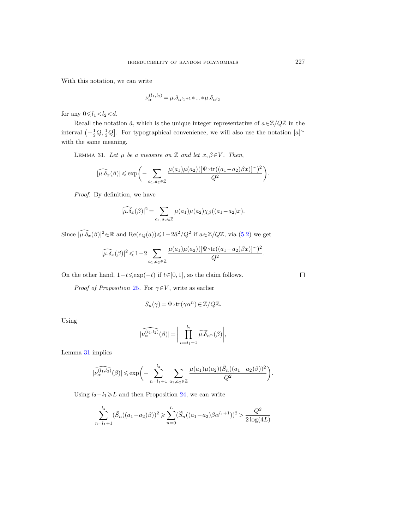With this notation, we can write

$$
\nu_{\alpha}^{(l_1,l_2)} = \mu \cdot \delta_{\alpha^{l_1+1}} \cdot \ldots \cdot \mu \cdot \delta_{\alpha^{l_2}}
$$

for any  $0 \le l_1 < l_2 < d$ .

Recall the notation  $\tilde{a}$ , which is the unique integer representative of  $a \in \mathbb{Z}/Q\mathbb{Z}$  in the interval  $\left(-\frac{1}{2}Q, \frac{1}{2}Q\right]$ . For typographical convenience, we will also use the notation  $[a]^\sim$ with the same meaning.

<span id="page-32-0"></span>LEMMA 31. Let  $\mu$  be a measure on  $\mathbb Z$  and let  $x, \beta \in V$ . Then,

$$
|\widehat{\mu.\delta_x}(\beta)| \leqslant \exp\biggl(-\sum_{a_1,a_2\in\mathbb{Z}}\frac{\mu(a_1)\mu(a_2)([\Psi\circ \text{tr}((a_1-a_2)\beta x)]^{\sim})^2}{Q^2}\biggr).
$$

Proof. By definition, we have

$$
|\widehat{\mu \cdot \delta_x}(\beta)|^2 = \sum_{a_1, a_2 \in \mathbb{Z}} \mu(a_1) \mu(a_2) \chi_{\beta}((a_1 - a_2)x).
$$

Since  $\widehat{|\mu.\delta_x}(\beta)|^2 \in \mathbb{R}$  and  $\text{Re}(e_Q(a)) \leq 1-2\tilde{a}^2/Q^2$  if  $a \in \mathbb{Z}/Q\mathbb{Z}$ , via  $(5.2)$  we get

$$
|\widehat{\mu.\delta_x}(\beta)|^2\leqslant 1-2\sum_{a_1,a_2\in\mathbb{Z}}\frac{\mu(a_1)\mu(a_2)([\Psi\circ\text{tr}((a_1-a_2)\beta x)]^\sim)^2}{Q^2}.
$$

On the other hand,  $1-t \leq \exp(-t)$  if  $t \in [0, 1]$ , so the claim follows.

*Proof of Proposition [25](#page-26-0).* For  $\gamma \in V$ , write as earlier

$$
S_n(\gamma) = \Psi \circ \operatorname{tr}(\gamma \alpha^n) \in \mathbb{Z}/Q\mathbb{Z}.
$$

Using

$$
|\widehat{\nu_{\alpha}^{(l_1,l_2)}}(\beta)| = \bigg|\prod_{n=l_1+1}^{l_2} \widehat{\mu.\delta_{\alpha^n}}(\beta)\bigg|,
$$

Lemma [31](#page-32-0) implies

$$
|\widehat{\nu_{\alpha}^{(l_1,l_2)}}(\beta)| \leqslant \exp\biggl(-\sum_{n=l_1+1}^{l_2}\sum_{a_1,a_2\in\mathbb{Z}}\frac{\mu(a_1)\mu(a_2)(\widetilde{S}_n((a_1-a_2)\beta))^2}{Q^2}\biggr).
$$

Using  $l_2-l_1\geq L$  and then Proposition [24,](#page-25-2) we can write

$$
\sum_{n=l_1+1}^{l_2} (\widetilde{S}_n((a_1-a_2)\beta))^2 \geqslant \sum_{n=0}^{L} (\widetilde{S}_n((a_1-a_2)\beta \alpha^{l_1+1}))^2 > \frac{Q^2}{2\log(4L)}
$$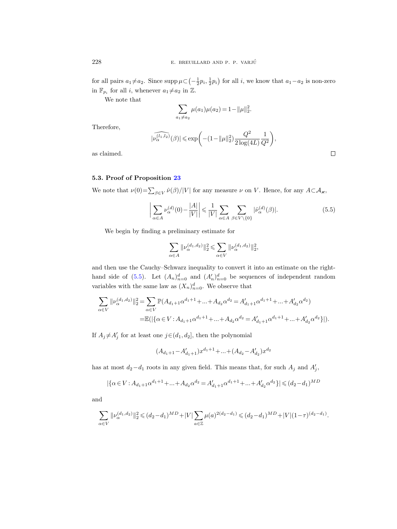for all pairs  $a_1 \neq a_2$ . Since  $\text{supp }\mu \subset \left(-\frac{1}{2}p_i, \frac{1}{2}p_i\right)$  for all i, we know that  $a_1 - a_2$  is non-zero in  $\mathbb{F}_{p_i}$  for all *i*, whenever  $a_1 \neq a_2$  in  $\mathbb{Z}$ .

We note that

$$
\sum_{a_1 \neq a_2} \mu(a_1)\mu(a_2) = 1 - ||\mu||_2^2.
$$

Therefore,

$$
|\widehat{\nu_{\alpha}^{(l_1,l_2)}}(\beta)|\leqslant \exp\biggl(-(1-\|\mu\|_2^2)\frac{Q^2}{2\log(4L)}\frac{1}{Q^2}\biggr),
$$

as claimed.

## <span id="page-33-0"></span>5.3. Proof of Proposition [23](#page-25-1)

We note that  $\nu(0) = \sum_{\beta \in V} \hat{\nu}(\beta)/|V|$  for any measure  $\nu$  on V. Hence, for any  $A \subset A_{\varkappa}$ ,

<span id="page-33-1"></span>
$$
\left| \sum_{\alpha \in A} \nu_{\alpha}^{(d)}(0) - \frac{|A|}{|V|} \right| \leq \frac{1}{|V|} \sum_{\alpha \in A} \sum_{\beta \in V \setminus \{0\}} |\hat{\nu}_{\alpha}^{(d)}(\beta)|. \tag{5.5}
$$

We begin by finding a preliminary estimate for

$$
\sum_{\alpha\in A}\|\nu_\alpha^{(d_1,d_2)}\|_2^2\leqslant \sum_{\alpha\in V}\|\nu_\alpha^{(d_1,d_2)}\|_2^2,
$$

and then use the Cauchy–Schwarz inequality to convert it into an estimate on the right-hand side of [\(5.5\)](#page-33-1). Let  $(A_n)_{n=0}^d$  and  $(A'_n)_{n=0}^d$  be sequences of independent random variables with the same law as  $(X_n)_{n=0}^d$ . We observe that

$$
\begin{split} \sum_{\alpha \in V} \| \nu_\alpha^{(d_1,d_2)} \|_2^2 & = \sum_{\alpha \in V} \mathbb{P} (A_{d_1+1} \alpha^{d_1+1} + \ldots + A_{d_2} \alpha^{d_2} = A_{d_1+1}' \alpha^{d_1+1} + \ldots + A_{d_2}' \alpha^{d_2}) \\ = & \mathbb{E} ( | \{ \alpha \in V : A_{d_1+1} \alpha^{d_1+1} + \ldots + A_{d_2} \alpha^{d_2} = A_{d_1+1}' \alpha^{d_1+1} + \ldots + A_{d_2}' \alpha^{d_2} \} | ). \end{split}
$$

If  $A_j \neq A'_j$  for at least one  $j \in (d_1, d_2]$ , then the polynomial

$$
(A_{d_1+1}-A_{d_1+1}')x^{d_1+1}+\ldots+(A_{d_2}-A_{d_2}')x^{d_2}
$$

has at most  $d_2 - d_1$  roots in any given field. This means that, for such  $A_j$  and  $A'_j$ ,

$$
|\{\alpha \in V: A_{d_1+1} \alpha^{d_1+1} + \dots + A_{d_2} \alpha^{d_2} = A'_{d_1+1} \alpha^{d_1+1} + \dots + A'_{d_2} \alpha^{d_2}\}| \leq (d_2 - d_1)^{MD}
$$

and

$$
\sum_{\alpha \in V} \|\nu_{\alpha}^{(d_1,d_2)}\|_2^2 \leq (d_2-d_1)^{MD} + |V| \sum_{a \in \mathbb{Z}} \mu(a)^{2(d_2-d_1)} \leq (d_2-d_1)^{MD} + |V| (1-\tau)^{(d_2-d_1)}.
$$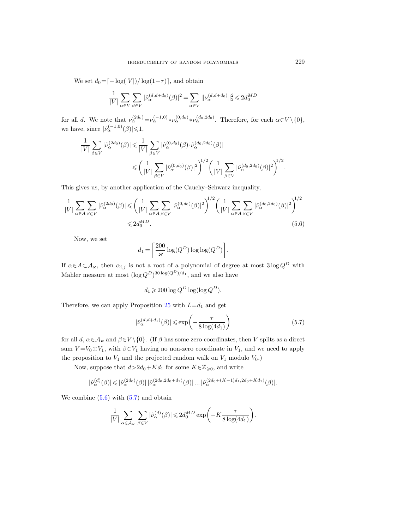We set  $d_0 = \left[ -\log(|V|) / \log(1-\tau) \right]$ , and obtain

$$
\frac{1}{|V|} \sum_{\alpha \in V} \sum_{\beta \in V} |\hat{\nu}_{\alpha}^{(d, d+d_0)}(\beta)|^2 = \sum_{\alpha \in V} ||\nu_{\alpha}^{(d, d+d_0)}||_2^2 \leq 2d_0^{MD}
$$

for all d. We note that  $\nu_\alpha^{(2d_0)} = \nu_\alpha^{(-1,0)} * \nu_\alpha^{(0,d_0)} * \nu_\alpha^{(d_0,2d_0)}$ . Therefore, for each  $\alpha \in V \setminus \{0\}$ , we have, since  $|\hat{\nu}_{\alpha}^{(-1,0)}(\beta)| \leq 1$ ,

$$
\label{eq:estim} \begin{split} \frac{1}{|V|}\sum_{\beta\in V}|\hat{\nu}_{\alpha}^{(2d_0)}(\beta)|&\leqslant\frac{1}{|V|}\sum_{\beta\in V}|\hat{\nu}_{\alpha}^{(0,d_0)}(\beta)\cdot\hat{\nu}_{\alpha}^{(d_0,2d_0)}(\beta)|\\ &\leqslant\left(\frac{1}{|V|}\sum_{\beta\in V}|\hat{\nu}_{\alpha}^{(0,d_0)}(\beta)|^2\right)^{\hspace{-1mm}1/2}\left(\frac{1}{|V|}\sum_{\beta\in V}|\hat{\nu}_{\alpha}^{(d_0,2d_0)}(\beta)|^2\right)^{\hspace{-1mm}1/2}. \end{split}
$$

This gives us, by another application of the Cauchy–Schwarz inequality,

$$
\frac{1}{|V|} \sum_{\alpha \in A} \sum_{\beta \in V} |\hat{\nu}_{\alpha}^{(2d_0)}(\beta)| \leqslant \left(\frac{1}{|V|} \sum_{\alpha \in A} \sum_{\beta \in V} |\hat{\nu}_{\alpha}^{(0,d_0)}(\beta)|^2\right)^{1/2} \left(\frac{1}{|V|} \sum_{\alpha \in A} \sum_{\beta \in V} |\hat{\nu}_{\alpha}^{(d_0,2d_0)}(\beta)|^2\right)^{1/2} \leqslant 2d_0^{MD}.
$$
\n
$$
(5.6)
$$

Now, we set

<span id="page-34-0"></span>
$$
d_1 = \left\lceil \frac{200}{\varkappa} \log(Q^D) \log \log(Q^D) \right\rceil.
$$

If  $\alpha \in A \subset A_{\varkappa}$ , then  $\alpha_{i,j}$  is not a root of a polynomial of degree at most  $3 \log Q^D$  with Mahler measure at most  $(\log Q^D)^{30 \log(Q^D)/d_1}$ , and we also have

$$
d_1 \geqslant 200 \log Q^D \log(\log Q^D).
$$

Therefore, we can apply Proposition [25](#page-26-0) with  $L=d_1$  and get

<span id="page-34-1"></span>
$$
|\hat{\nu}_{\alpha}^{(d,d+d_1)}(\beta)| \leq \exp\left(-\frac{\tau}{8\log(4d_1)}\right) \tag{5.7}
$$

for all d,  $\alpha \in \mathcal{A}_{\varkappa}$  and  $\beta \in V \setminus \{0\}$ . (If  $\beta$  has some zero coordinates, then V splits as a direct sum  $V = V_0 \oplus V_1$ , with  $\beta \in V_1$  having no non-zero coordinate in  $V_1$ , and we need to apply the proposition to  $V_1$  and the projected random walk on  $V_1$  modulo  $V_0$ .)

Now, suppose that  $d>2d_0+Kd_1$  for some  $K\in\mathbb{Z}_{\geqslant 0}$ , and write

$$
|\hat{\nu}^{(d)}_{\alpha}(\beta)|\leqslant |\hat{\nu}^{(2d_0)}_{\alpha}(\beta)|\,|\hat{\nu}^{(2d_0,2d_0+d_1)}_{\alpha}(\beta)|\ldots|\hat{\nu}^{(2d_0+(K-1)d_1,2d_0+Kd_1)}_{\alpha}(\beta)|.
$$

We combine  $(5.6)$  with  $(5.7)$  and obtain

$$
\frac{1}{|V|} \sum_{\alpha \in \mathcal{A}_{\varkappa}} \sum_{\beta \in V} |\hat{\nu}_{\alpha}^{(d)}(\beta)| \leq 2d_0^{MD} \exp\bigg(-K\frac{\tau}{8\log(4d_1)}\bigg).
$$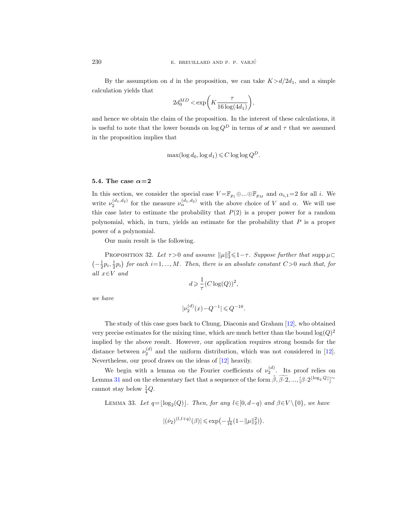By the assumption on d in the proposition, we can take  $K > d/2d_1$ , and a simple calculation yields that

$$
2d_0^{MD} < \exp\biggl(K\frac{\tau}{16\log(4d_1)}\biggr),
$$

and hence we obtain the claim of the proposition. In the interest of these calculations, it is useful to note that the lower bounds on  $\log Q^D$  in terms of  $\varkappa$  and  $\tau$  that we assumed in the proposition implies that

$$
\max(\log d_0, \log d_1) \leqslant C \log \log Q^D.
$$

#### <span id="page-35-0"></span>5.4. The case  $\alpha=2$

In this section, we consider the special case  $V = \mathbb{F}_{p_1} \oplus ... \oplus \mathbb{F}_{p_M}$  and  $\alpha_{i,1}=2$  for all i. We write  $\nu_2^{(d_1,d_2)}$  for the measure  $\nu_\alpha^{(d_1,d_2)}$  with the above choice of V and  $\alpha$ . We will use this case later to estimate the probability that  $P(2)$  is a proper power for a random polynomial, which, in turn, yields an estimate for the probability that  $P$  is a proper power of a polynomial.

Our main result is the following.

<span id="page-35-1"></span>PROPOSITION 32. Let  $\tau > 0$  and assume  $\|\mu\|_2^2 \leq 1 - \tau$ . Suppose further that supp  $\mu \subset$  $\left(-\frac{1}{2}p_i,\frac{1}{2}p_i\right)$  for each  $i=1,\ldots,M$ . Then, there is an absolute constant  $C>0$  such that, for all  $x \in V$  and

$$
d\geqslant \frac{1}{\tau}(C\log(Q))^2,
$$

we have

$$
|\nu_2^{(d)}(x) - Q^{-1}| \leq Q^{-10}.
$$

The study of this case goes back to Chung, Diaconis and Graham [\[12\]](#page-53-7), who obtained very precise estimates for the mixing time, which are much better than the bound  $\log(Q)^2$ implied by the above result. However, our application requires strong bounds for the distance between  $\nu_2^{(d)}$  and the uniform distribution, which was not considered in [\[12\]](#page-53-7). Nevertheless, our proof draws on the ideas of [\[12\]](#page-53-7) heavily.

We begin with a lemma on the Fourier coefficients of  $\nu_2^{(d)}$ . Its proof relies on Lemma [31](#page-32-0) and on the elementary fact that a sequence of the form  $\tilde{\beta}, \tilde{\beta} \cdot 2, ..., [\beta \cdot 2^{\lfloor \log_2 Q \rfloor}]^{\sim}$ cannot stay below  $\frac{1}{4}Q$ .

<span id="page-35-2"></span>LEMMA 33. Let  $q = \lfloor \log_2(Q) \rfloor$ . Then, for any  $l \in [0, d-q)$  and  $\beta \in V \setminus \{0\}$ , we have

$$
|(\hat{\nu}_2)^{(l,l+q)}(\beta)| \leq \exp\left(-\frac{1}{16}(1 - ||\mu||_2^2)\right).
$$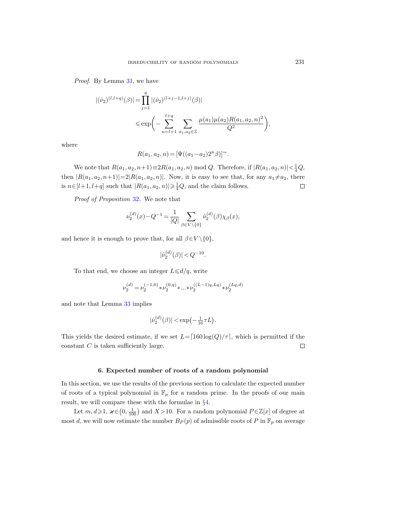Proof. By Lemma [31,](#page-32-0) we have

$$
\begin{aligned} |(\hat{\nu}_2)^{(l,l+q)}(\beta)| &= \prod_{j=1}^q |(\hat{\nu}_2)^{(l+j-1,l+j)}(\beta)| \\ &\leqslant \exp\biggl(-\sum_{n=l+1}^{l+q} \sum_{a_1,a_2 \in \mathbb{Z}} \frac{\mu(a_1)\mu(a_2)R(a_1,a_2,n)^2}{Q^2}\biggr), \end{aligned}
$$

where

 $R(a_1, a_2, n) = [\Psi((a_1 - a_2)2^n \beta)]^{\sim}.$ 

We note that  $R(a_1, a_2, n+1) \equiv 2R(a_1, a_2, n) \mod Q$ . Therefore, if  $|R(a_1, a_2, n)| < \frac{1}{4}Q$ , then  $|R(a_1, a_2, n+1)|=2|R(a_1, a_2, n)|$ . Now, it is easy to see that, for any  $a_1\neq a_2$ , there is  $n \in [l+1, l+q]$  such that  $|R(a_1, a_2, n)| \geq \frac{1}{4}Q$ , and the claim follows.  $\Box$ 

Proof of Proposition [32](#page-35-1). We note that

$$
\nu_2^{(d)}(x) - Q^{-1} = \frac{1}{|Q|} \sum_{\beta \in V \backslash \{0\}} \hat{\nu}_2^{(d)}(\beta) \chi_{\beta}(x),
$$

and hence it is enough to prove that, for all  $\beta \in V \setminus \{0\},$ 

$$
|\hat{\nu}_2^{(d)}(\beta)| < Q^{-10}.
$$

To that end, we choose an integer  $L \le d/q$ , write

$$
\nu_2^{(d)} = \nu_2^{(-1,0)} * \nu_2^{(0,q)} * ... * \nu_2^{((L-1)q,Lq)} * \nu_2^{(Lq,d)}
$$

and note that Lemma [33](#page-35-2) implies

$$
|\hat{\nu}_2^{(d)}(\beta)| < \exp\left(-\frac{1}{16}\tau L\right).
$$

This yields the desired estimate, if we set  $L=[160 \log(Q)/\tau]$ , which is permitted if the constant  $C$  is taken sufficiently large.  $\Box$ 

## 6. Expected number of roots of a random polynomial

<span id="page-36-0"></span>In this section, we use the results of the previous section to calculate the expected number of roots of a typical polynomial in  $\mathbb{F}_p$  for a random prime. In the proofs of our main result, we will compare these with the formulae in §[4.](#page-19-0)

Let  $m, d \geq 1$ ,  $\varkappa \in (0, \frac{1}{100})$  and  $X > 10$ . For a random polynomial  $P \in \mathbb{Z}[x]$  of degree at most d, we will now estimate the number  $B_P(p)$  of admissible roots of P in  $\mathbb{F}_p$  on average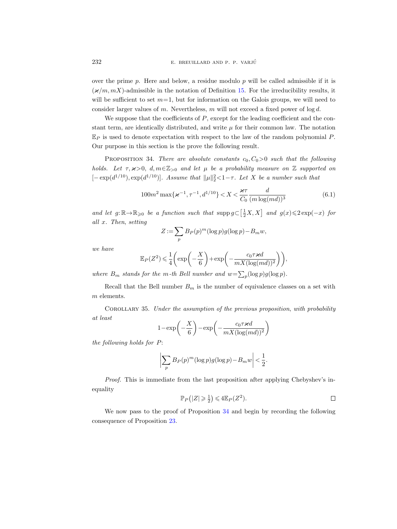over the prime  $p$ . Here and below, a residue modulo  $p$  will be called admissible if it is  $(\varkappa/m, mX)$ -admissible in the notation of Definition [15.](#page-18-2) For the irreducibility results, it will be sufficient to set  $m=1$ , but for information on the Galois groups, we will need to consider larger values of m. Nevertheless, m will not exceed a fixed power of  $log d$ .

We suppose that the coefficients of  $P$ , except for the leading coefficient and the constant term, are identically distributed, and write  $\mu$  for their common law. The notation  $\mathbb{E}_P$  is used to denote expectation with respect to the law of the random polynomial P. Our purpose in this section is the prove the following result.

<span id="page-37-0"></span>PROPOSITION 34. There are absolute constants  $c_0, C_0 > 0$  such that the following holds. Let  $\tau$ ,  $x>0$ ,  $d, m \in \mathbb{Z}_{>0}$  and let  $\mu$  be a probability measure on  $\mathbb Z$  supported on  $[-\exp(d^{1/10}), \exp(d^{1/10})]$ . Assume that  $\|\mu\|_2^2 < 1 - \tau$ . Let X be a number such that

<span id="page-37-2"></span>
$$
100m^{2}\max\{\varkappa^{-1},\tau^{-1},d^{1/10}\}(6.1)
$$

and let  $g: \mathbb{R} \to \mathbb{R}_{\geqslant 0}$  be a function such that  $\text{supp } g \subset \left[\frac{1}{2}X, X\right]$  and  $g(x) \leqslant 2\exp(-x)$  for all x. Then, setting

$$
Z := \sum_{p} B_P(p)^m (\log p) g(\log p) - B_m w,
$$

we have

$$
\mathbb{E}_P(Z^2) \leqslant \frac{1}{4} \bigg( \text{exp} \bigg( - \frac{X}{6} \bigg) + \text{exp} \bigg( - \frac{c_0 \tau \varkappa d}{m X (\log (m d))^2} \bigg) \bigg),
$$

where  $B_m$  stands for the m-th Bell number and  $w = \sum_p (\log p) g(\log p)$ .

Recall that the Bell number  $B_m$  is the number of equivalence classes on a set with m elements.

<span id="page-37-1"></span>Corollary 35. Under the assumption of the previous proposition, with probability at least

$$
1 - \exp\left(-\frac{X}{6}\right) - \exp\left(-\frac{c_0 \tau \varkappa d}{mX(\log(md))^2}\right)
$$

the following holds for P:

$$
\left| \sum_{p} B_{P}(p)^{m} (\log p) g(\log p) - B_{m} w \right| < \frac{1}{2}.
$$

Proof. This is immediate from the last proposition after applying Chebyshev's inequality

$$
\mathbb{P}_P(|Z|\geqslant \frac{1}{2})\leqslant 4\mathbb{E}_P(Z^2).
$$

We now pass to the proof of Proposition [34](#page-37-0) and begin by recording the following consequence of Proposition [23.](#page-25-1)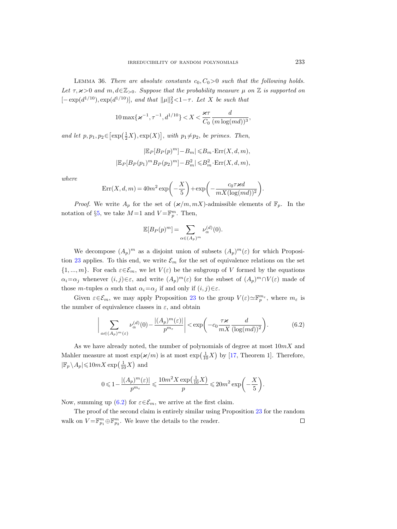<span id="page-38-1"></span>LEMMA 36. There are absolute constants  $c_0, C_0 > 0$  such that the following holds. Let  $\tau$ ,  $x>0$  and  $m, d \in \mathbb{Z}_{>0}$ . Suppose that the probability measure  $\mu$  on  $\mathbb Z$  is supported on  $[- \exp(d^{1/10}), \exp(d^{1/10})]$ , and that  $\|\mu\|_2^2 < 1 - \tau$ . Let X be such that

$$
10\max\{\varkappa^{-1},\tau^{-1},d^{1/10}\} < X < \frac{\varkappa\tau}{C_0} \frac{d}{(m\log(md))^3},
$$

and let  $p, p_1, p_2 \in [\exp(\frac{1}{2}X), \exp(X)],$  with  $p_1 \neq p_2$ , be primes. Then,

$$
|\mathbb{E}_P[B_P(p)^m] - B_m| \leq B_m \cdot \text{Err}(X, d, m),
$$
  

$$
|\mathbb{E}_P[B_P(p_1)^m B_P(p_2)^m] - B_m^2| \leq B_m^2 \cdot \text{Err}(X, d, m),
$$

where

$$
\text{Err}(X, d, m) = 40m^2 \exp\left(-\frac{X}{5}\right) + \exp\left(-\frac{c_0 \tau \varkappa d}{m X (\log(md))^2}\right).
$$

*Proof.* We write  $A_p$  for the set of  $(\varkappa/m, mX)$ -admissible elements of  $\mathbb{F}_p$ . In the notation of §[5,](#page-22-0) we take  $M=1$  and  $V=\mathbb{F}_p^m$ . Then,

$$
\mathbb{E}[B_P(p)^m] = \sum_{\alpha \in (A_p)^m} \nu_{\alpha}^{(d)}(0).
$$

We decompose  $(A_p)^m$  as a disjoint union of subsets  $(A_p)^m(\varepsilon)$  for which Proposi-tion [23](#page-25-1) applies. To this end, we write  $\mathcal{E}_m$  for the set of equivalence relations on the set  $\{1, ..., m\}$ . For each  $\varepsilon \in \mathcal{E}_m$ , we let  $V(\varepsilon)$  be the subgroup of V formed by the equations  $\alpha_i = \alpha_j$  whenever  $(i, j) \in \varepsilon$ , and write  $(A_p)^m(\varepsilon)$  for the subset of  $(A_p)^m \cap V(\varepsilon)$  made of those *m*-tuples  $\alpha$  such that  $\alpha_i = \alpha_j$  if and only if  $(i, j) \in \varepsilon$ .

Given  $\varepsilon \in \mathcal{E}_m$ , we may apply Proposition [23](#page-25-1) to the group  $V(\varepsilon) \simeq \mathbb{F}_p^{m_{\varepsilon}}$ , where  $m_{\varepsilon}$  is the number of equivalence classes in  $\varepsilon$ , and obtain

<span id="page-38-0"></span>
$$
\bigg|\sum_{\alpha\in (A_p)^m(\varepsilon)}\nu_{\alpha}^{(d)}(0) - \frac{|(A_p)^m(\varepsilon)|}{p^{m_{\varepsilon}}}\bigg| < \exp\bigg(-c_0\frac{\tau\varkappa}{mX}\frac{d}{(\log(md))^2}\bigg). \tag{6.2}
$$

As we have already noted, the number of polynomials of degree at most  $10mX$  and Mahler measure at most  $\exp(\varkappa/m)$  is at most  $\exp(\frac{1}{10}X)$  by [\[17,](#page-53-15) Theorem 1]. Therefore,  $|\mathbb{F}_p \setminus A_p| \leqslant 10mX \exp\left(\frac{1}{10}X\right)$  and

$$
0 \leqslant 1-\frac{\vert (A_p)^m(\varepsilon)\vert}{p^{m_\varepsilon}}\leqslant \frac{10m^2X\exp\bigl(\frac{1}{10}X\bigr)}{p}\leqslant 20m^2\exp\biggl(-\frac{X}{5}\biggr).
$$

Now, summing up [\(6.2\)](#page-38-0) for  $\varepsilon \in \mathcal{E}_m$ , we arrive at the first claim.

The proof of the second claim is entirely similar using Proposition [23](#page-25-1) for the random walk on  $V = \mathbb{F}_{p_1}^m \oplus \mathbb{F}_{p_2}^m$ . We leave the details to the reader.  $\Box$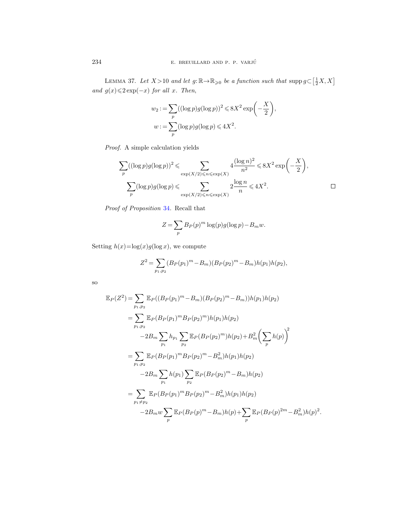<span id="page-39-0"></span>LEMMA 37. Let  $X > 10$  and let  $g: \mathbb{R} \to \mathbb{R}_{\geqslant 0}$  be a function such that  $\text{supp } g \subset \left[\frac{1}{2}X, X\right]$ and  $g(x) \leq 2 \exp(-x)$  for all x. Then,

$$
w_2 := \sum_p ((\log p)g(\log p))^2 \leq 8X^2 \exp\left(-\frac{X}{2}\right),
$$
  

$$
w := \sum_p (\log p)g(\log p) \leq 4X^2.
$$

Proof. A simple calculation yields

$$
\sum_{p} ((\log p)g(\log p))^2 \leq \sum_{\exp(X/2) \leq n \leq \exp(X)} 4 \frac{(\log n)^2}{n^2} \leq 8X^2 \exp\left(-\frac{X}{2}\right),
$$
  

$$
\sum_{p} (\log p)g(\log p) \leq \sum_{\exp(X/2) \leq n \leq \exp(X)} 2 \frac{\log n}{n} \leq 4X^2.
$$

Proof of Proposition [34](#page-37-0). Recall that

$$
Z = \sum_{p} B_P(p)^m \log(p) g(\log p) - B_m w.
$$

Setting  $h(x)=\log(x)g(\log x)$ , we compute

$$
Z^{2} = \sum_{p_{1},p_{2}} (B_{P}(p_{1})^{m} - B_{m})(B_{P}(p_{2})^{m} - B_{m})h(p_{1})h(p_{2}),
$$

so

$$
\mathbb{E}_{P}(Z^{2}) = \sum_{p_{1},p_{2}} \mathbb{E}_{P}((B_{P}(p_{1})^{m} - B_{m})(B_{P}(p_{2})^{m} - B_{m}))h(p_{1})h(p_{2})
$$
\n
$$
= \sum_{p_{1},p_{2}} \mathbb{E}_{P}(B_{P}(p_{1})^{m}B_{P}(p_{2})^{m})h(p_{1})h(p_{2})
$$
\n
$$
-2B_{m} \sum_{p_{1}} h_{p_{1}} \sum_{p_{2}} \mathbb{E}_{P}(B_{P}(p_{2})^{m})h(p_{2}) + B_{m}^{2} \left(\sum_{p} h(p)\right)^{2}
$$
\n
$$
= \sum_{p_{1},p_{2}} \mathbb{E}_{P}(B_{P}(p_{1})^{m}B_{P}(p_{2})^{m} - B_{m}^{2})h(p_{1})h(p_{2})
$$
\n
$$
-2B_{m} \sum_{p_{1}} h(p_{1}) \sum_{p_{2}} \mathbb{E}_{P}(B_{P}(p_{2})^{m} - B_{m})h(p_{2})
$$
\n
$$
= \sum_{p_{1} \neq p_{2}} \mathbb{E}_{P}(B_{P}(p_{1})^{m}B_{P}(p_{2})^{m} - B_{m}^{2})h(p_{1})h(p_{2})
$$
\n
$$
-2B_{m}w \sum_{p} \mathbb{E}_{P}(B_{P}(p)^{m} - B_{m})h(p) + \sum_{p} \mathbb{E}_{P}(B_{P}(p)^{2m} - B_{m}^{2})h(p)^{2}.
$$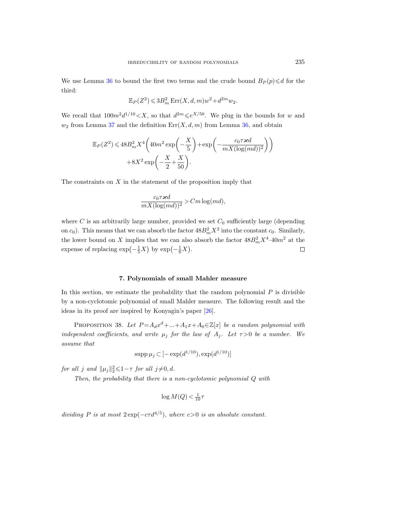We use Lemma [36](#page-38-1) to bound the first two terms and the crude bound  $B_P(p) \le d$  for the third:

$$
\mathbb{E}_P(Z^2) \leqslant 3B_m^2 \operatorname{Err}(X, d, m) w^2 + d^{2m} w_2.
$$

We recall that  $100m^2d^{1/10} < X$ , so that  $d^{2m} \leq e^{X/50}$ . We plug in the bounds for w and  $w_2$  from Lemma [37](#page-39-0) and the definition  $Err(X, d, m)$  from Lemma [36,](#page-38-1) and obtain

$$
\mathbb{E}_P(Z^2) \leqslant 48B_m^2 X^4 \left( 40m^2 \exp\left(-\frac{X}{5}\right) + \exp\left(-\frac{c_0 \tau \varkappa d}{m X (\log(md))^2}\right) \right) + 8X^2 \exp\left(-\frac{X}{2} + \frac{X}{50}\right).
$$

The constraints on  $X$  in the statement of the proposition imply that

$$
\frac{c_0\tau \varkappa d}{mX(\log(md))^2}>Cm\log(md),
$$

where  $C$  is an arbitrarily large number, provided we set  $C_0$  sufficiently large (depending on  $c_0$ ). This means that we can absorb the factor  $48B_m^2X^2$  into the constant  $c_0$ . Similarly, the lower bound on X implies that we can also absorb the factor  $48B_m^2X^4\cdot 40m^2$  at the expense of replacing  $\exp(-\frac{1}{5}X)$  by  $\exp(-\frac{1}{6}X)$ .  $\Box$ 

## 7. Polynomials of small Mahler measure

<span id="page-40-0"></span>In this section, we estimate the probability that the random polynomial  $P$  is divisible by a non-cyclotomic polynomial of small Mahler measure. The following result and the ideas in its proof are inspired by Konyagin's paper [\[26\]](#page-54-1).

<span id="page-40-1"></span>PROPOSITION 38. Let  $P = A_d x^d + ... + A_1 x + A_0 \in \mathbb{Z}[x]$  be a random polynomial with independent coefficients, and write  $\mu_j$  for the law of  $A_j$ . Let  $\tau > 0$  be a number. We assume that

$$
\mathrm{supp}\,\mu_j \subset [-\exp(d^{1/10}), \exp(d^{1/10})]
$$

for all j and  $||\mu_j||_2^2 \leq 1 - \tau$  for all j $\neq 0, d$ .

Then, the probability that there is a non-cyclotomic polynomial Q with

$$
\log M(Q) < \frac{1}{10}\tau
$$

dividing P is at most  $2 \exp(-c\tau d^{4/5})$ , where  $c > 0$  is an absolute constant.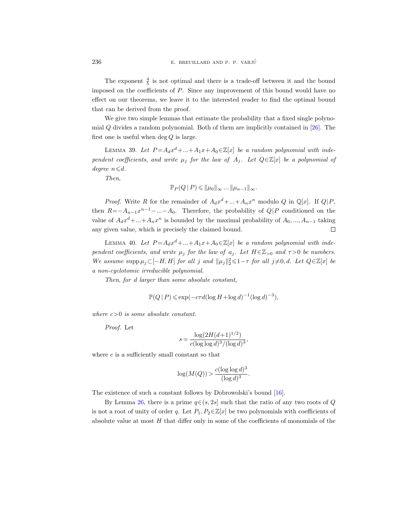236 E. BREUILLARD AND P. P. VARJÚ

The exponent  $\frac{4}{5}$  is not optimal and there is a trade-off between it and the bound imposed on the coefficients of  $P$ . Since any improvement of this bound would have no effect on our theorems, we leave it to the interested reader to find the optimal bound that can be derived from the proof.

We give two simple lemmas that estimate the probability that a fixed single polynomial  $Q$  divides a random polynomial. Both of them are implicitly contained in  $[26]$ . The first one is useful when  $\deg Q$  is large.

<span id="page-41-0"></span>LEMMA 39. Let  $P = A_d x^d + ... + A_1 x + A_0 \in \mathbb{Z}[x]$  be a random polynomial with independent coefficients, and write  $\mu_j$  for the law of  $A_j$ . Let  $Q \in \mathbb{Z}[x]$  be a polynomial of degree  $n \le d$ .

Then,

$$
\mathbb{P}_P(Q \mid P) \leq \|\mu_0\|_{\infty} \dots \|\mu_{n-1}\|_{\infty}.
$$

*Proof.* Write R for the remainder of  $A_d x^d + ... + A_n x^n$  modulo Q in Q[x]. If Q|P, then  $R = -A_{n-1}x^{n-1} - ... - A_0$ . Therefore, the probability of  $Q|P$  conditioned on the value of  $A_d x^d + ... + A_n x^n$  is bounded by the maximal probability of  $A_0, ..., A_{n-1}$  taking any given value, which is precisely the claimed bound.  $\Box$ 

<span id="page-41-1"></span>LEMMA 40. Let  $P = A_d x^d + ... + A_1 x + A_0 \in \mathbb{Z}[x]$  be a random polynomial with independent coefficients, and write  $\mu_j$  for the law of  $a_j$ . Let  $H \in \mathbb{Z}_{>0}$  and  $\tau > 0$  be numbers. We assume supp  $\mu_j \subset [-H, H]$  for all j and  $\|\mu_j\|_2^2 \leq 1 - \tau$  for all  $j \neq 0, d$ . Let  $Q \in \mathbb{Z}[x]$  be a non-cyclotomic irreducible polynomial.

Then, for d larger than some absolute constant,

$$
\mathbb{P}(Q \mid P) \le \exp(-c\tau d(\log H + \log d)^{-1}(\log d)^{-3}),
$$

where  $c>0$  is some absolute constant.

Proof. Let

$$
s = \frac{\log(2H(d+1)^{1/2})}{c(\log\log d)^3/(\log d)^3},
$$

where  $c$  is a sufficiently small constant so that

$$
\log(M(Q)) > \frac{c(\log\log d)^3}{(\log d)^3}.
$$

The existence of such a constant follows by Dobrowolski's bound [\[16\]](#page-53-11).

By Lemma [26,](#page-27-0) there is a prime  $q \in (s, 2s]$  such that the ratio of any two roots of Q is not a root of unity of order q. Let  $P_1, P_2 \in \mathbb{Z}[x]$  be two polynomials with coefficients of absolute value at most  $H$  that differ only in some of the coefficients of monomials of the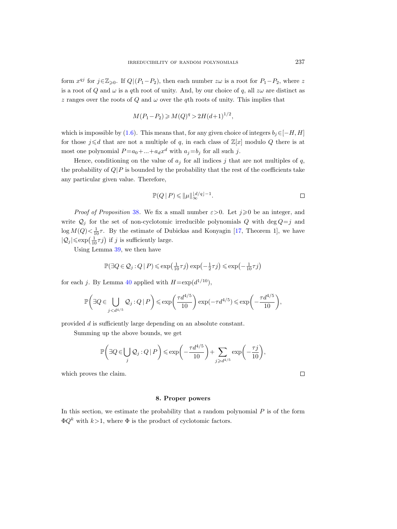form  $x^{qj}$  for  $j \in \mathbb{Z}_{\geqslant 0}$ . If  $Q|(P_1-P_2)$ , then each number  $z\omega$  is a root for  $P_1-P_2$ , where z is a root of Q and  $\omega$  is a qth root of unity. And, by our choice of q, all  $z\omega$  are distinct as z ranges over the roots of  $Q$  and  $\omega$  over the qth roots of unity. This implies that

$$
M(P_1 - P_2) \ge M(Q)^q > 2H(d+1)^{1/2},
$$

which is impossible by [\(1.6\)](#page-9-2). This means that, for any given choice of integers  $b_j \in [-H, H]$ for those  $j \le d$  that are not a multiple of q, in each class of  $\mathbb{Z}[x]$  modulo Q there is at most one polynomial  $P=a_0+...+a_dx^d$  with  $a_j=b_j$  for all such j.

Hence, conditioning on the value of  $a_j$  for all indices j that are not multiples of q, the probability of  $Q|P$  is bounded by the probability that the rest of the coefficients take any particular given value. Therefore,

$$
\mathbb{P}(Q \mid P) \leqslant ||\mu||_{\infty}^{\lfloor d/q \rfloor - 1}.
$$

*Proof of Proposition [38](#page-40-1).* We fix a small number  $\varepsilon > 0$ . Let  $j \geq 0$  be an integer, and write  $Q_i$  for the set of non-cyclotomic irreducible polynomials Q with deg  $Q=j$  and  $\log M(Q) < \frac{1}{10}\tau$ . By the estimate of Dubickas and Konyagin [\[17,](#page-53-15) Theorem 1], we have  $|\mathcal{Q}_j|{\leqslant}\exp\left(\frac{1}{10}\tau j\right)$  if  $j$  is sufficiently large.

Using Lemma [39,](#page-41-0) we then have

$$
\mathbb{P}(\exists Q \in \mathcal{Q}_j : Q \mid P) \leqslant \exp\!\left(\tfrac{1}{10} \tau j\right) \exp\!\left(-\tfrac{1}{2} \tau j\right) \leqslant \exp\!\left(-\tfrac{1}{10} \tau j\right)
$$

for each j. By Lemma [40](#page-41-1) applied with  $H = \exp(d^{1/10})$ ,

$$
\mathbb{P}\bigg(\exists Q\in \bigcup_{j
$$

provided d is sufficiently large depending on an absolute constant.

Summing up the above bounds, we get

$$
\mathbb{P}\bigg(\exists Q\!\in\!\bigcup_j\mathcal{Q}_j:Q\,|\,P\bigg)\!\leqslant\!\exp\bigg(\!-\!\frac{\tau d^{4/5}}{10}\bigg)\!+\!\sum_{j\geqslant d^{4/5}}\exp\bigg(\!-\!\frac{\tau j}{10}\bigg),
$$

which proves the claim.

#### 8. Proper powers

<span id="page-42-0"></span>In this section, we estimate the probability that a random polynomial  $P$  is of the form  $\Phi Q^k$  with  $k>1$ , where  $\Phi$  is the product of cyclotomic factors.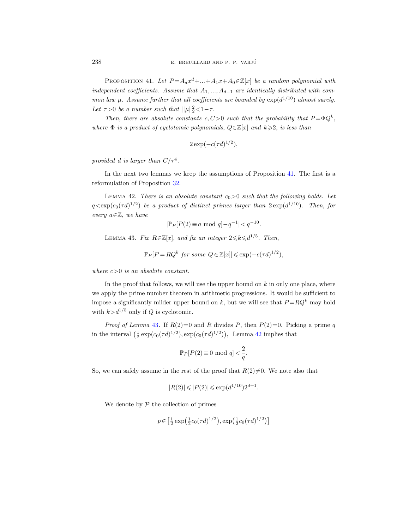<span id="page-43-0"></span>PROPOSITION 41. Let  $P = A_d x^d + ... + A_1 x + A_0 \in \mathbb{Z}[x]$  be a random polynomial with independent coefficients. Assume that  $A_1, ..., A_{d-1}$  are identically distributed with common law  $\mu$ . Assume further that all coefficients are bounded by  $\exp(d^{1/10})$  almost surely. Let  $\tau > 0$  be a number such that  $\|\mu\|_2^2 < 1 - \tau$ .

Then, there are absolute constants c, C > 0 such that the probability that  $P = \Phi Q^k$ , where  $\Phi$  is a product of cyclotomic polynomials,  $Q \in \mathbb{Z}[x]$  and  $k \geq 2$ , is less than

$$
2\exp(-c(\tau d)^{1/2}),
$$

provided d is larger than  $C/\tau^4$ .

In the next two lemmas we keep the assumptions of Proposition [41.](#page-43-0) The first is a reformulation of Proposition [32.](#page-35-1)

<span id="page-43-2"></span>LEMMA 42. There is an absolute constant  $c_0>0$  such that the following holds. Let  $q \leq \exp(c_0(\tau d)^{1/2})$  be a product of distinct primes larger than  $2 \exp(d^{1/10})$ . Then, for every  $a \in \mathbb{Z}$ , we have

$$
|\mathbb{P}_P[P(2) \equiv a \mod q] - q^{-1}| < q^{-10}.
$$

<span id="page-43-1"></span>LEMMA 43. Fix  $R \in \mathbb{Z}[x]$ , and fix an integer  $2 \leq k \leq d^{1/5}$ . Then,

$$
\mathbb{P}_P[P = RQ^k \text{ for some } Q \in \mathbb{Z}[x]] \le \exp(-c(\tau d)^{1/2}),
$$

where  $c>0$  is an absolute constant.

In the proof that follows, we will use the upper bound on  $k$  in only one place, where we apply the prime number theorem in arithmetic progressions. It would be sufficient to impose a significantly milder upper bound on k, but we will see that  $P = RQ^k$  may hold with  $k>d^{1/5}$  only if Q is cyclotomic.

*Proof of Lemma* [43](#page-43-1). If  $R(2)=0$  and R divides P, then  $P(2)=0$ . Picking a prime q in the interval  $\left(\frac{1}{2} \exp(c_0(\tau d)^{1/2}), \exp(c_0(\tau d)^{1/2})\right)$ , Lemma [42](#page-43-2) implies that

$$
\mathbb{P}_P[P(2) \equiv 0 \text{ mod } q] < \frac{2}{q}.
$$

So, we can safely assume in the rest of the proof that  $R(2)\neq0$ . We note also that

$$
|R(2)| \leqslant |P(2)| \leqslant \exp(d^{1/10})2^{d+1}.
$$

We denote by  $P$  the collection of primes

$$
p \in \left[\frac{1}{2} \exp\left(\frac{1}{2} c_0 (\tau d)^{1/2}\right), \exp\left(\frac{1}{2} c_0 (\tau d)^{1/2}\right)\right]
$$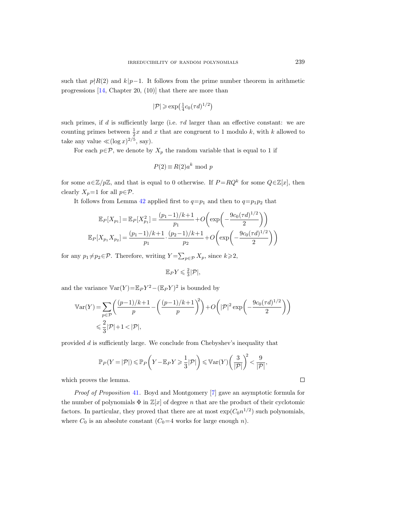such that  $p\nmid R(2)$  and  $k|p-1$ . It follows from the prime number theorem in arithmetic progressions [\[14,](#page-53-18) Chapter 20, (10)] that there are more than

$$
|\mathcal{P}| \geqslant \exp\left(\frac{1}{4}c_0(\tau d)^{1/2}\right)
$$

such primes, if d is sufficiently large (i.e.  $\tau d$  larger than an effective constant: we are counting primes between  $\frac{1}{2}x$  and x that are congruent to 1 modulo k, with k allowed to take any value  $\ll (\log x)^{2/5}$ , say).

For each  $p \in \mathcal{P}$ , we denote by  $X_p$  the random variable that is equal to 1 if

$$
P(2) \equiv R(2)a^k \mod p
$$

for some  $a \in \mathbb{Z}/p\mathbb{Z}$ , and that is equal to 0 otherwise. If  $P = RQ^k$  for some  $Q \in \mathbb{Z}[x]$ , then clearly  $X_p=1$  for all  $p \in \mathcal{P}$ .

It follows from Lemma [42](#page-43-2) applied first to  $q=p_1$  and then to  $q=p_1p_2$  that

$$
\mathbb{E}_{P}[X_{p_1}] = \mathbb{E}_{P}[X_{p_1}^2] = \frac{(p_1 - 1)/k + 1}{p_1} + O\left(\exp\left(-\frac{9c_0(\tau d)^{1/2}}{2}\right)\right)
$$

$$
\mathbb{E}_{P}[X_{p_1}X_{p_2}] = \frac{(p_1 - 1)/k + 1}{p_1} \cdot \frac{(p_2 - 1)/k + 1}{p_2} + O\left(\exp\left(-\frac{9c_0(\tau d)^{1/2}}{2}\right)\right)
$$

for any  $p_1 \neq p_2 \in \mathcal{P}$ . Therefore, writing  $Y = \sum_{p \in \mathcal{P}} X_p$ , since  $k \geqslant 2$ ,

$$
\mathbb{E}_P Y \leqslant \frac{2}{3} |\mathcal{P}|,
$$

and the variance  $\mathbb{V}\text{ar}(Y) = \mathbb{E}_P Y^2 - (\mathbb{E}_P Y)^2$  is bounded by

$$
\begin{aligned} \mathbb{V}\text{ar}(Y) & = \sum_{p\in\mathcal{P}}\biggl(\frac{(p-1)/k+1}{p}-\biggl(\frac{(p-1)/k+1}{p}\biggr)^{\!\!2}\biggr)+O\biggl(|\mathcal{P}|^2\exp\biggl(-\frac{9c_0(\tau d)^{1/2}}{2}\biggr)\biggr)\\ & \leqslant \frac{2}{3}|\mathcal{P}|+1<|\mathcal{P}|, \end{aligned}
$$

provided d is sufficiently large. We conclude from Chebyshev's inequality that

$$
\mathbb{P}_P(Y=|\mathcal{P}|) \le \mathbb{P}_P\left(Y - \mathbb{E}_P Y \ge \frac{1}{3}|\mathcal{P}|\right) \le \mathbb{V}\text{ar}(Y)\left(\frac{3}{|\mathcal{P}|}\right)^2 < \frac{9}{|\mathcal{P}|},
$$

which proves the lemma.

Proof of Proposition [41](#page-43-0). Boyd and Montgomery [\[7\]](#page-53-19) gave an asymptotic formula for the number of polynomials  $\Phi$  in  $\mathbb{Z}[x]$  of degree n that are the product of their cyclotomic factors. In particular, they proved that there are at most  $\exp(C_0 n^{1/2})$  such polynomials, where  $C_0$  is an absolute constant  $(C_0=4$  works for large enough n).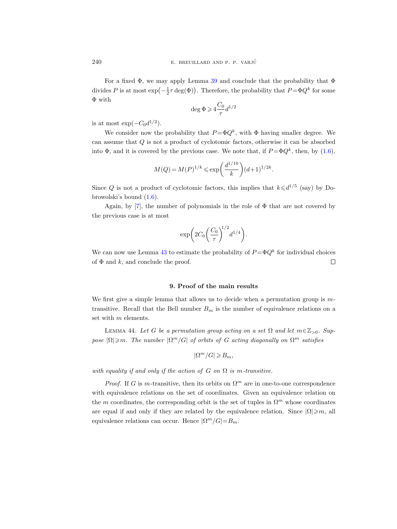For a fixed  $\Phi$ , we may apply Lemma [39](#page-41-0) and conclude that the probability that  $\Phi$ divides P is at most  $\exp(-\frac{1}{2}\tau \deg(\Phi))$ . Therefore, the probability that  $P = \Phi Q^k$  for some Φ with

$$
\deg \Phi\!\geqslant\! 4\frac{C_0}{\tau}d^{1/2}
$$

is at most  $\exp(-C_0 d^{1/2})$ .

We consider now the probability that  $P = \Phi Q^k$ , with  $\Phi$  having smaller degree. We can assume that Q is not a product of cyclotomic factors, otherwise it can be absorbed into  $\Phi$ , and it is covered by the previous case. We note that, if  $P = \Phi Q^k$ , then, by [\(1.6\)](#page-9-2),

$$
M(Q) = M(P)^{1/k} \le \exp\left(\frac{d^{1/10}}{k}\right) (d+1)^{1/2k}.
$$

Since Q is not a product of cyclotomic factors, this implies that  $k \leq d^{1/5}$  (say) by Dobrowolski's bound [\(1.6\)](#page-9-2).

Again, by [\[7\]](#page-53-19), the number of polynomials in the role of  $\Phi$  that are not covered by the previous case is at most

$$
\exp\biggl(2C_0\biggl(\frac{C_0}{\tau}\biggr)^{\!\!1/2}d^{1/4}\biggr).
$$

We can now use Lemma [43](#page-43-1) to estimate the probability of  $P = \Phi Q^k$  for individual choices of  $\Phi$  and k, and conclude the proof.  $\Box$ 

# 9. Proof of the main results

<span id="page-45-0"></span>We first give a simple lemma that allows us to decide when a permutation group is  $m$ transitive. Recall that the Bell number  $B_m$  is the number of equivalence relations on a set with m elements.

<span id="page-45-1"></span>LEMMA 44. Let G be a permutation group acting on a set  $\Omega$  and let  $m \in \mathbb{Z}_{>0}$ . Suppose  $|\Omega| \geqslant m$ . The number  $|\Omega^m/G|$  of orbits of G acting diagonally on  $\Omega^m$  satisfies

$$
|\Omega^m/G| \geqslant B_m,
$$

with equality if and only if the action of G on  $\Omega$  is m-transitive.

*Proof.* If G is m-transitive, then its orbits on  $\Omega^m$  are in one-to-one correspondence with equivalence relations on the set of coordinates. Given an equivalence relation on the m coordinates, the corresponding orbit is the set of tuples in  $\Omega^m$  whose coordinates are equal if and only if they are related by the equivalence relation. Since  $|\Omega| \geq m$ , all equivalence relations can occur. Hence  $|\Omega^m/G| = B_m$ .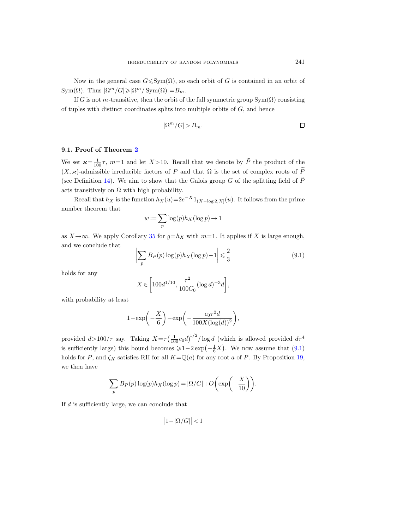Now in the general case  $G \leq \text{Sym}(\Omega)$ , so each orbit of G is contained in an orbit of Sym( $\Omega$ ). Thus  $|\Omega^m/G| \ge |\Omega^m/Sym(\Omega)| = B_m$ .

If G is not m-transitive, then the orbit of the full symmetric group  $Sym(\Omega)$  consisting of tuples with distinct coordinates splits into multiple orbits of  $G$ , and hence

$$
|\Omega^m/G| > B_m.
$$

# <span id="page-46-0"></span>9.1. Proof of Theorem [2](#page-2-1)

We set  $\varkappa = \frac{1}{100}\tau$ ,  $m=1$  and let  $X > 10$ . Recall that we denote by  $\widetilde{P}$  the product of the  $(X, \varkappa)$ -admissible irreducible factors of P and that  $\Omega$  is the set of complex roots of  $\widetilde{P}$ (see Definition [14\)](#page-17-1). We aim to show that the Galois group G of the splitting field of  $\widetilde{P}$ acts transitively on  $\Omega$  with high probability.

Recall that  $h_X$  is the function  $h_X(u)=2e^{-X}1_{(X-\log 2,X]}(u)$ . It follows from the prime number theorem that

$$
w := \sum_{p} \log(p) h_X(\log p) \to 1
$$

as  $X \rightarrow \infty$ . We apply Corollary [35](#page-37-1) for  $g=h_X$  with  $m=1$ . It applies if X is large enough, and we conclude that

<span id="page-46-1"></span>
$$
\left| \sum_{p} B_{P}(p) \log(p) h_{X}(\log p) - 1 \right| \leq \frac{2}{3}
$$
\n(9.1)

holds for any

$$
X \in \left[100d^{1/10}, \frac{\tau^2}{100C_0} (\log d)^{-3} d\right],
$$

with probability at least

$$
1 - \exp\left(-\frac{X}{6}\right) - \exp\left(-\frac{c_0 \tau^2 d}{100 X (\log(d))^2}\right),\,
$$

provided  $d > 100/\tau$  say. Taking  $X = \tau \left(\frac{1}{100}c_0d\right)^{1/2}/\log d$  (which is allowed provided  $d\tau^4$ is sufficiently large) this bound becomes  $\geq 1-2\exp(-\frac{1}{6}X)$ . We now assume that [\(9.1\)](#page-46-1) holds for P, and  $\zeta_K$  satisfies RH for all  $K=\mathbb{Q}(a)$  for any root a of P. By Proposition [19,](#page-19-2) we then have

$$
\sum_{p} B_{P}(p) \log(p) h_{X}(\log p) = |\Omega/G| + O\left(\exp\left(-\frac{X}{10}\right)\right).
$$

If d is sufficiently large, we can conclude that

$$
\left|1 - |\Omega/G|\right| < 1
$$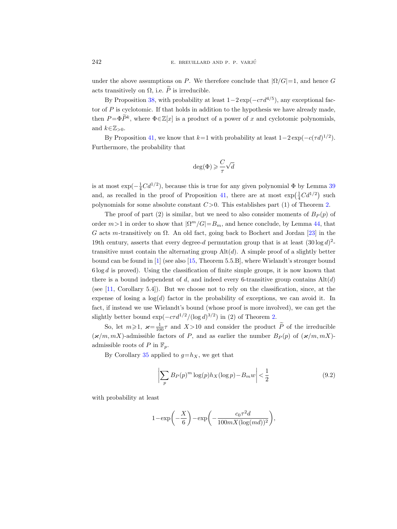under the above assumptions on P. We therefore conclude that  $|\Omega/G|=1$ , and hence G acts transitively on  $\Omega$ , i.e.  $\widetilde{P}$  is irreducible.

By Proposition [38,](#page-40-1) with probability at least  $1-2\exp(-c\tau d^{4/5})$ , any exceptional factor of  $P$  is cyclotomic. If that holds in addition to the hypothesis we have already made, then  $P = \Phi \tilde{P}^k$ , where  $\Phi \in \mathbb{Z}[x]$  is a product of a power of x and cyclotomic polynomials, and  $k \in \mathbb{Z}_{>0}$ .

By Proposition [41,](#page-43-0) we know that  $k=1$  with probability at least  $1-2\exp(-c(\tau d)^{1/2})$ . Furthermore, the probability that

$$
\deg(\Phi)\geqslant \frac{C}{\tau}\sqrt{d}
$$

is at most  $\exp(-\frac{1}{4}Cd^{1/2})$ , because this is true for any given polynomial  $\Phi$  by Lemma [39](#page-41-0) and, as recalled in the proof of Proposition [41,](#page-43-0) there are at most  $\exp(\frac{1}{4}Cd^{1/2})$  such polynomials for some absolute constant  $C>0$ . This establishes part (1) of Theorem [2.](#page-2-1)

The proof of part (2) is similar, but we need to also consider moments of  $B<sub>P</sub>(p)$  of order  $m>1$  in order to show that  $|\Omega^m/G| = B_m$ , and hence conclude, by Lemma [44,](#page-45-1) that G acts m-transitively on  $\Omega$ . An old fact, going back to Bochert and Jordan [\[23\]](#page-53-20) in the 19th century, asserts that every degree-d permutation group that is at least  $(30 \log d)^2$ transitive must contain the alternating group  $\text{Alt}(d)$ . A simple proof of a slightly better bound can be found in [\[1\]](#page-53-21) (see also [\[15,](#page-53-22) Theorem 5.5.B], where Wielandt's stronger bound  $6 \log d$  is proved). Using the classification of finite simple groups, it is now known that there is a bound independent of d, and indeed every 6-transitive group contains  $\text{Alt}(d)$ (see [\[11,](#page-53-23) Corollary 5.4]). But we choose not to rely on the classification, since, at the expense of losing a  $log(d)$  factor in the probability of exceptions, we can avoid it. In fact, if instead we use Wielandt's bound (whose proof is more involved), we can get the slightly better bound  $\exp(-c\tau d^{1/2}/(\log d)^{3/2})$  in (2) of Theorem [2.](#page-2-1)

So, let  $m \geq 1$ ,  $\varkappa = \frac{1}{100}\tau$  and  $X > 10$  and consider the product  $\widetilde{P}$  of the irreducible  $(\varkappa/m, mX)$ -admissible factors of P, and as earlier the number  $B_P(p)$  of  $(\varkappa/m, mX)$ admissible roots of P in  $\mathbb{F}_p$ .

By Corollary [35](#page-37-1) applied to  $g=h_X$ , we get that

<span id="page-47-0"></span>
$$
\left| \sum_{p} B_{P}(p)^{m} \log(p) h_{X}(\log p) - B_{m} w \right| < \frac{1}{2} \tag{9.2}
$$

with probability at least

$$
1-\exp\biggl(-\frac{X}{6}\biggr)-\exp\biggl(-\frac{c_0\tau^2d}{100mX(\log(md))^2}\biggr),
$$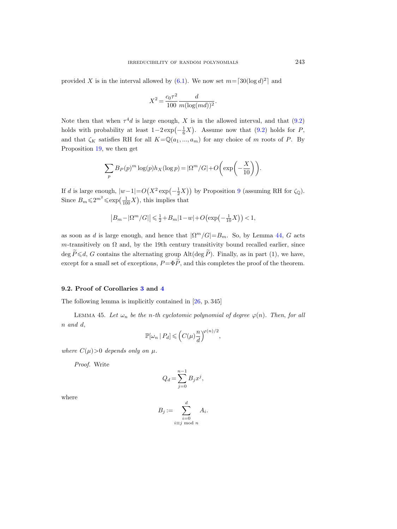provided X is in the interval allowed by [\(6.1\)](#page-37-2). We now set  $m = \lceil 30(\log d)^2 \rceil$  and

$$
X^{2} = \frac{c_{0}\tau^{2}}{100} \frac{d}{m(\log(md))^{2}}.
$$

Note then that when  $\tau^4 d$  is large enough, X is in the allowed interval, and that [\(9.2\)](#page-47-0) holds with probability at least  $1-2\exp(-\frac{1}{6}X)$ . Assume now that [\(9.2\)](#page-47-0) holds for P, and that  $\zeta_K$  satisfies RH for all  $K=\mathbb{Q}(a_1,..., a_m)$  for any choice of m roots of P. By Proposition [19,](#page-19-2) we then get

$$
\sum_{p} B_{P}(p)^{m} \log(p) h_{X}(\log p) = |\Omega^{m}/G| + O\left(\exp\left(-\frac{X}{10}\right)\right).
$$

If d is large enough,  $|w-1| = O(X^2 \exp(-\frac{1}{2}X))$  by Proposition [9](#page-9-1) (assuming RH for  $\zeta_{\mathbb{Q}}$ ). Since  $B_m \leq 2^{m^2} \leq \exp\left(\frac{1}{100}X\right)$ , this implies that

$$
\left|B_m-|\Omega^m/G|\right|\leqslant \tfrac12+B_m|1-w|+O\bigl(\exp\bigl(-\tfrac1{10}X\bigr)\bigr)<1,
$$

as soon as d is large enough, and hence that  $|\Omega^m/G| = B_m$ . So, by Lemma [44,](#page-45-1) G acts m-transitively on  $\Omega$  and, by the 19th century transitivity bound recalled earlier, since deg  $\tilde{P}\leq d$ , G contains the alternating group Alt(deg  $\tilde{P}$ ). Finally, as in part (1), we have, except for a small set of exceptions,  $P = \Phi \tilde{P}$ , and this completes the proof of the theorem.

## 9.2. Proof of Corollaries [3](#page-3-0) and [4](#page-3-1)

The following lemma is implicitly contained in [\[26,](#page-54-1) p. 345]

<span id="page-48-0"></span>LEMMA 45. Let  $\omega_n$  be the n-th cyclotomic polynomial of degree  $\varphi(n)$ . Then, for all n and d,

$$
\mathbb{P}[\omega_n | P_d] \leqslant \left(C(\mu) \frac{n}{d}\right)^{\varphi(n)/2},
$$

where  $C(\mu) > 0$  depends only on  $\mu$ .

Proof. Write

$$
Q_d = \sum_{j=0}^{n-1} B_j x^j,
$$

where

$$
B_j := \sum_{\substack{i=0 \ i \equiv j \bmod n}}^d A_i.
$$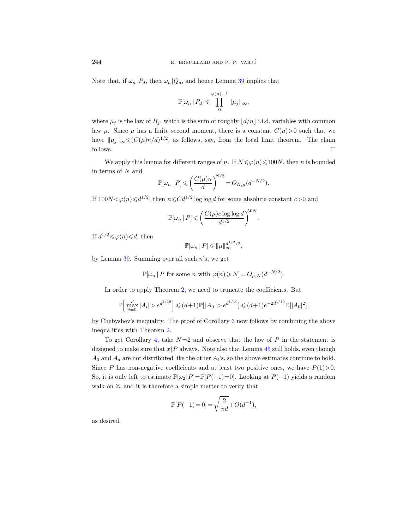Note that, if  $\omega_n | P_d$ , then  $\omega_n | Q_d$ , and hence Lemma [39](#page-41-0) implies that

$$
\mathbb{P}[\omega_n\,|\,P_d]\leqslant \prod_0^{\varphi(n)-1}\|\mu_j\|_\infty,
$$

where  $\mu_j$  is the law of  $B_j$ , which is the sum of roughly  $\vert d/n \vert$  i.i.d. variables with common law  $\mu$ . Since  $\mu$  has a finite second moment, there is a constant  $C(\mu) > 0$  such that we have  $\|\mu_j\|_{\infty} \leqslant (C(\mu)n/d)^{1/2}$ , as follows, say, from the local limit theorem. The claim follows.  $\Box$ 

We apply this lemma for different ranges of n. If  $N \le \varphi(n) \le 100N$ , then n is bounded in terms of  $N$  and

$$
\mathbb{P}[\omega_n | P] \leqslant \left(\frac{C(\mu)n}{d}\right)^{N/2} = O_{N,\mu}(d^{-N/2}).
$$

If  $100N < \varphi(n) \le d^{1/2}$ , then  $n \le C d^{1/2} \log \log d$  for some absolute constant  $c > 0$  and

$$
\mathbb{P}[\omega_n | P] \leqslant \left( \frac{C(\mu) c \log \log d}{d^{1/2}} \right)^{50N}.
$$

If  $d^{1/2} \leq \varphi(n) \leq d$ , then

$$
\mathbb{P}[\omega_n | P] \leqslant ||\mu||_{\infty}^{d^{1/2}/2},
$$

by Lemma  $39$ . Summing over all such n's, we get

 $\mathbb{P}[\omega_n | P$  for some n with  $\varphi(n) \ge N] = O_{\mu,N}(d^{-N/2}).$ 

In order to apply Theorem [2,](#page-2-1) we need to truncate the coefficients. But

$$
\mathbb{P}\Big[\max_{i=0}^d|A_i|>e^{d^{1/10}}\Big]\leqslant (d+1)\mathbb{P}[|A_0|>e^{d^{1/10}}]\leqslant (d+1)e^{-2d^{1/10}}\mathbb{E}[|A_0|^2],
$$

by Chebyshev's inequality. The proof of Corollary [3](#page-3-0) now follows by combining the above inequalities with Theorem [2.](#page-2-1)

To get Corollary [4,](#page-3-1) take  $N=2$  and observe that the law of P in the statement is designed to make sure that  $x \nmid P$  always. Note also that Lemma [45](#page-48-0) still holds, even though  $A_0$  and  $A_d$  are not distributed like the other  $A_i$ 's, so the above estimates continue to hold. Since P has non-negative coefficients and at least two positive ones, we have  $P(1) > 0$ . So, it is only left to estimate  $\mathbb{P}[\omega_2 | P]=\mathbb{P}[P(-1)=0]$ . Looking at  $P(-1)$  yields a random walk on  $\mathbb{Z}$ , and it is therefore a simple matter to verify that

$$
\mathbb{P}[P(-1) = 0] = \sqrt{\frac{2}{\pi d}} + O(d^{-1}),
$$

as desired.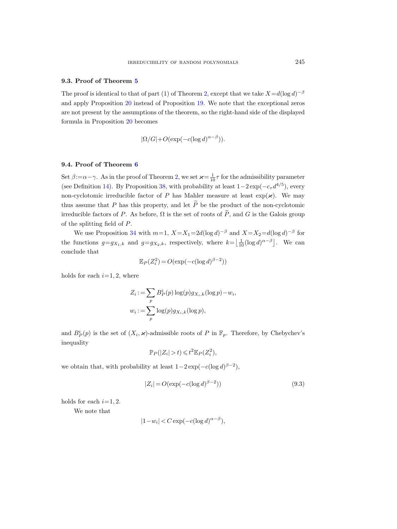#### 9.3. Proof of Theorem [5](#page-4-0)

The proof is identical to that of part (1) of Theorem [2,](#page-2-1) except that we take  $X = d(\log d)^{-\beta}$ and apply Proposition [20](#page-19-3) instead of Proposition [19.](#page-19-2) We note that the exceptional zeros are not present by the assumptions of the theorem, so the right-hand side of the displayed formula in Proposition [20](#page-19-3) becomes

$$
|\Omega/G| + O(\exp(-c(\log d)^{\alpha-\beta})).
$$

# 9.4. Proof of Theorem [6](#page-5-2)

Set  $\beta := \alpha - \gamma$ . As in the proof of Theorem [2,](#page-2-1) we set  $\varkappa = \frac{1}{10}\tau$  for the admissibility parameter (see Definition [14\)](#page-17-1). By Proposition [38,](#page-40-1) with probability at least  $1-2\exp(-c_{\tau}d^{4/5})$ , every non-cyclotomic irreducible factor of P has Mahler measure at least  $\exp(\varkappa)$ . We may thus assume that P has this property, and let  $\widetilde{P}$  be the product of the non-cyclotomic irreducible factors of P. As before,  $\Omega$  is the set of roots of  $\widetilde{P}$ , and G is the Galois group of the splitting field of P.

We use Proposition [34](#page-37-0) with  $m=1$ ,  $X=X_1=2d(\log d)^{-\beta}$  and  $X=X_2=d(\log d)^{-\beta}$  for the functions  $g = g_{X_1,k}$  and  $g = g_{X_2,k}$ , respectively, where  $k = \left\lfloor \frac{1}{10} (\log d)^{\alpha-\beta} \right\rfloor$ . We can conclude that

$$
\mathbb{E}_P(Z_i^2) = O(\exp(-c(\log d)^{\beta - 2}))
$$

holds for each  $i=1, 2$ , where

$$
Z_i := \sum_p B_P^i(p) \log(p) g_{X_i,k}(\log p) - w_i,
$$
  

$$
w_i := \sum_p \log(p) g_{X_i,k}(\log p),
$$

and  $B_P^i(p)$  is the set of  $(X_i, \varkappa)$ -admissible roots of P in  $\mathbb{F}_p$ . Therefore, by Chebychev's inequality

$$
\mathbb{P}_P(|Z_i| > t) \leq t^2 \mathbb{E}_P(Z_i^2),
$$

we obtain that, with probability at least  $1-2\exp(-c(\log d)^{\beta-2}),$ 

<span id="page-50-0"></span>
$$
|Z_i| = O(\exp(-c(\log d)^{\beta - 2}))\tag{9.3}
$$

holds for each  $i=1, 2$ .

We note that

$$
|1 - w_i| < C \exp(-c(\log d)^{\alpha - \beta}),
$$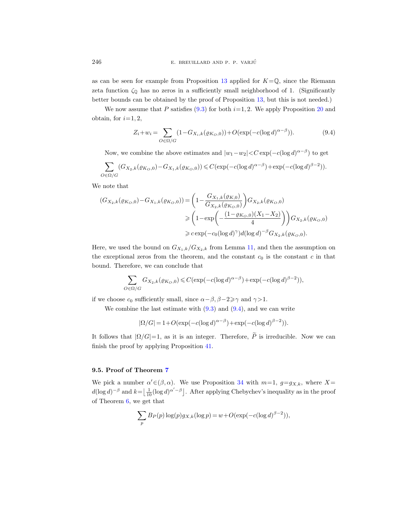as can be seen for example from Proposition [13](#page-15-2) applied for  $K=\mathbb{Q}$ , since the Riemann zeta function  $\zeta_0$  has no zeros in a sufficiently small neighborhood of 1. (Significantly better bounds can be obtained by the proof of Proposition [13,](#page-15-2) but this is not needed.)

We now assume that P satisfies [\(9.3\)](#page-50-0) for both  $i=1, 2$ . We apply Proposition [20](#page-19-3) and obtain, for  $i=1, 2$ ,

<span id="page-51-0"></span>
$$
Z_i + w_i = \sum_{O \in \Omega/G} (1 - G_{X_i,k}(\varrho_{K_O,0})) + O(\exp(-c(\log d)^{\alpha - \beta})).
$$
\n(9.4)

Now, we combine the above estimates and  $|w_1 - w_2| < C \exp(-c(\log d)^{\alpha - \beta})$  to get

$$
\sum_{O \in \Omega/G} (G_{X_2,k}(\varrho_{K_O,0}) - G_{X_1,k}(\varrho_{K_O,0})) \leqslant C(\exp(-c(\log d)^{\alpha-\beta}) + \exp(-c(\log d)^{\beta-2})).
$$

We note that

$$
(G_{X_2,k}(\varrho_{K_O,0}) - G_{X_1,k}(\varrho_{K_O,0})) = \left(1 - \frac{G_{X_1,k}(\varrho_{K_O,0})}{G_{X_2,k}(\varrho_{K_O,0})}\right) G_{X_2,k}(\varrho_{K_O,0})
$$
  
\n
$$
\geq \left(1 - \exp\left(-\frac{(1 - \varrho_{K_O,0})(X_1 - X_2)}{4}\right)\right) G_{X_2,k}(\varrho_{K_O,0})
$$
  
\n
$$
\geq c \exp(-c_0(\log d)^\gamma) d(\log d)^{-\beta} G_{X_2,k}(\varrho_{K_O,0}).
$$

Here, we used the bound on  $G_{X_1,k}/G_{X_2,k}$  from Lemma [11,](#page-12-1) and then the assumption on the exceptional zeros from the theorem, and the constant  $c_0$  is the constant  $c$  in that bound. Therefore, we can conclude that

$$
\sum_{O \in \Omega/G} G_{X_2,k}(\varrho_{K_O,0}) \leqslant C(\exp(-c(\log d)^{\alpha-\beta}) + \exp(-c(\log d)^{\beta-2})),
$$

if we choose  $c_0$  sufficiently small, since  $\alpha - \beta$ ,  $\beta - 2 \ge \gamma$  and  $\gamma > 1$ .

We combine the last estimate with  $(9.3)$  and  $(9.4)$ , and we can write

$$
|\Omega/G| = 1 + O(\exp(-c(\log d)^{\alpha - \beta}) + \exp(-c(\log d)^{\beta - 2})).
$$

It follows that  $|\Omega/G|=1$ , as it is an integer. Therefore,  $\tilde{P}$  is irreducible. Now we can finish the proof by applying Proposition [41.](#page-43-0)

## 9.5. Proof of Theorem [7](#page-5-1)

We pick a number  $\alpha' \in (\beta, \alpha)$ . We use Proposition [34](#page-37-0) with  $m=1, g=g_{X,k}$ , where  $X=$  $d(\log d)^{-\beta}$  and  $k = \left\lfloor \frac{1}{10} (\log d)^{\alpha' - \beta} \right\rfloor$ . After applying Chebychev's inequality as in the proof of Theorem [6,](#page-5-2) we get that

$$
\sum_{p} B_P(p) \log(p) g_{X,k}(\log p) = w + O(\exp(-c(\log d)^{\beta - 2})),
$$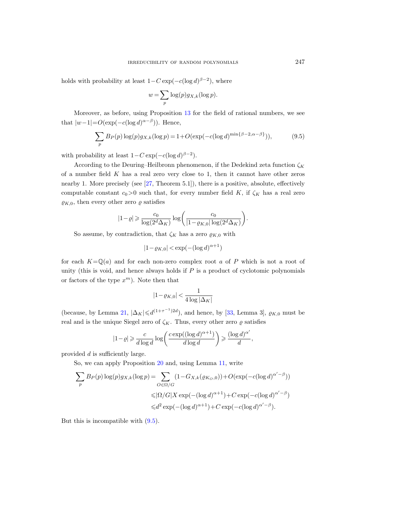holds with probability at least  $1 - C \exp(-c(\log d)^{\beta - 2})$ , where

$$
w = \sum_{p} \log(p) g_{X,k}(\log p).
$$

Moreover, as before, using Proposition [13](#page-15-2) for the field of rational numbers, we see that  $|w-1| = O(\exp(-c(\log d)^{\alpha-\beta}))$ . Hence,

<span id="page-52-0"></span>
$$
\sum_{p} B_{P}(p) \log(p) g_{X,k}(\log p) = 1 + O(\exp(-c(\log d)^{\min\{\beta - 2, \alpha - \beta\}})),
$$
\n(9.5)

with probability at least  $1 - C \exp(-c(\log d)^{\beta - 2})$ .

According to the Deuring–Heilbronn phenomenon, if the Dedekind zeta function  $\zeta_K$ of a number field  $K$  has a real zero very close to 1, then it cannot have other zeros nearby 1. More precisely (see [\[27,](#page-54-11) Theorem 5.1]), there is a positive, absolute, effectively computable constant  $c_0>0$  such that, for every number field K, if  $\zeta_K$  has a real zero  $\varrho_{K,0}$ , then every other zero  $\varrho$  satisfies

$$
|1-\varrho|\geqslant \frac{c_0}{\log(2^d\Delta_K)}\log\bigg(\frac{c_0}{|1-\varrho_{K,0}|\log(2^d\Delta_K)}\bigg).
$$

So assume, by contradiction, that  $\zeta_K$  has a zero  $\rho_{K,0}$  with

$$
|1 - \varrho_{K,0}| < \exp(-(\log d)^{\alpha + 1})
$$

for each  $K=\mathbb{Q}(a)$  and for each non-zero complex root a of P which is not a root of unity (this is void, and hence always holds if  $P$  is a product of cyclotomic polynomials or factors of the type  $x^m$ ). Note then that

$$
|1-\varrho_{K,0}| < \frac{1}{4\log|\Delta_K|}
$$

(because, by Lemma [21,](#page-20-1)  $|\Delta_K| \le d^{(1+\tau^{-1})2d}$ ), and hence, by [\[33,](#page-54-4) Lemma 3],  $\varrho_{K,0}$  must be real and is the unique Siegel zero of  $\zeta_K$ . Thus, every other zero  $\varrho$  satisfies

$$
|1-\varrho| \geqslant \frac{c}{d\log d} \log \left(\frac{c \exp((\log d)^{\alpha+1})}{d\log d} \right) \geqslant \frac{(\log d)^{\alpha'}}{d},
$$

provided d is sufficiently large.

So, we can apply Proposition [20](#page-19-3) and, using Lemma [11,](#page-12-1) write

$$
\sum_{p} B_{P}(p) \log(p) g_{X,k}(\log p) = \sum_{O \in \Omega/G} (1 - G_{X,k}(\varrho_{K_O,0})) + O(\exp(-c(\log d)^{\alpha' - \beta}))
$$
  

$$
\leq |\Omega/G| X \exp(-(\log d)^{\alpha + 1}) + C \exp(-c(\log d)^{\alpha' - \beta})
$$
  

$$
\leq d^2 \exp(-(\log d)^{\alpha + 1}) + C \exp(-c(\log d)^{\alpha' - \beta}).
$$

But this is incompatible with [\(9.5\)](#page-52-0).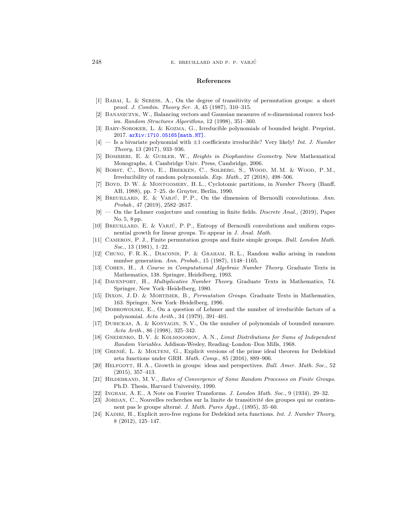#### References

- <span id="page-53-21"></span>[1] Babai, L. & Seress, A., On the degree of transitivity of permutation groups: a short proof. J. Combin. Theory Ser. A, 45 (1987), 310–315.
- <span id="page-53-17"></span>[2] Banaszczyk, W., Balancing vectors and Gaussian measures of n-dimensional convex bodies. Random Structures Algorithms, 12 (1998), 351–360.
- <span id="page-53-0"></span>[3] BARY-SOROKER, L. & KOZMA, G., Irreducible polynomials of bounded height. Preprint, 2017. [arXiv:1710.05165\[math.NT\]](http://arxiv.org/abs/1710.05165).
- <span id="page-53-1"></span> $[4]$  — Is a bivariate polynomial with  $\pm 1$  coefficients irreducible? Very likely! Int. J. Number Theory, 13 (2017), 933–936.
- <span id="page-53-12"></span>[5] Bombieri, E. & Gubler, W., Heights in Diophantine Geometry. New Mathematical Monographs, 4. Cambridge Univ. Press, Cambridge, 2006.
- <span id="page-53-2"></span>[6] Borst, C., Boyd, E., Brekken, C., Solberg, S., Wood, M. M. & Wood, P. M., Irreducibility of random polynomials. Exp. Math., 27 (2018), 498–506.
- <span id="page-53-19"></span>[7] BOYD, D. W. & MONTGOMERY, H. L., Cyclotomic partitions, in Number Theory (Banff, AB, 1988), pp. 7–25. de Gruyter, Berlin, 1990.
- <span id="page-53-4"></span>[8] BREUILLARD, E. & VARJÚ, P.P., On the dimension of Bernoulli convolutions. Ann. Probab., 47 (2019), 2582–2617.
- <span id="page-53-10"></span>[9] — On the Lehmer conjecture and counting in finite fields. Discrete Anal., (2019), Paper No. 5, 8 pp.
- <span id="page-53-3"></span>[10] BREUILLARD, E. & VARJÚ, P.P., Entropy of Bernoulli convolutions and uniform exponential growth for linear groups. To appear in J. Anal. Math.
- <span id="page-53-23"></span>[11] CAMERON, P. J., Finite permutation groups and finite simple groups. Bull. London Math. Soc., 13 (1981), 1–22.
- <span id="page-53-7"></span>[12] Chung, F. R. K., Diaconis, P. & Graham, R. L., Random walks arising in random number generation. Ann. Probab., 15 (1987), 1148–1165.
- <span id="page-53-16"></span>[13] Cohen, H., A Course in Computational Algebraic Number Theory. Graduate Texts in Mathematics, 138. Springer, Heidelberg, 1993.
- <span id="page-53-18"></span>[14] Davenport, H., Multiplicative Number Theory. Graduate Texts in Mathematics, 74. Springer, New York–Heidelberg, 1980.
- <span id="page-53-22"></span>[15] Dixon, J. D. & Mortimer, B., Permutation Groups. Graduate Texts in Mathematics, 163. Springer, New York–Heidelberg, 1996.
- <span id="page-53-11"></span>[16] Dobrowolski, E., On a question of Lehmer and the number of irreducible factors of a polynomial. Acta Arith., 34 (1979), 391–401.
- <span id="page-53-15"></span>[17] Dubickas, A. & Konyagin, S. V., On the number of polynomials of bounded measure. Acta Arith., 86 (1998), 325–342.
- <span id="page-53-5"></span>[18] GNEDENKO, B. V. & KOLMOGOROV, A. N., Limit Distributions for Sums of Independent Random Variables. Addison-Wesley, Reading–London–Don Mills, 1968.
- <span id="page-53-13"></span>[19] GRENIÉ, L. & MOLTENI, G., Explicit versions of the prime ideal theorem for Dedekind zeta functions under GRH. Math. Comp., 85 (2016), 889–906.
- <span id="page-53-9"></span>[20] Helfgott, H. A., Growth in groups: ideas and perspectives. Bull. Amer. Math. Soc., 52 (2015), 357–413.
- <span id="page-53-8"></span>[21] HILDEBRAND, M. V., Rates of Convergence of Some Random Processes on Finite Groups. Ph.D. Thesis, Harvard University, 1990.
- <span id="page-53-14"></span>[22] Ingham, A. E., A Note on Fourier Transforms. J. London Math. Soc., 9 (1934), 29–32.
- <span id="page-53-20"></span>[23] JORDAN, C., Nouvelles recherches sur la limite de transitivité des groupes qui ne contiennent pas le groupe alterné. J. Math. Pures Appl., (1895), 35–60.
- <span id="page-53-6"></span>[24] KADIRI, H., Explicit zero-free regions for Dedekind zeta functions. Int. J. Number Theory, 8 (2012), 125–147.